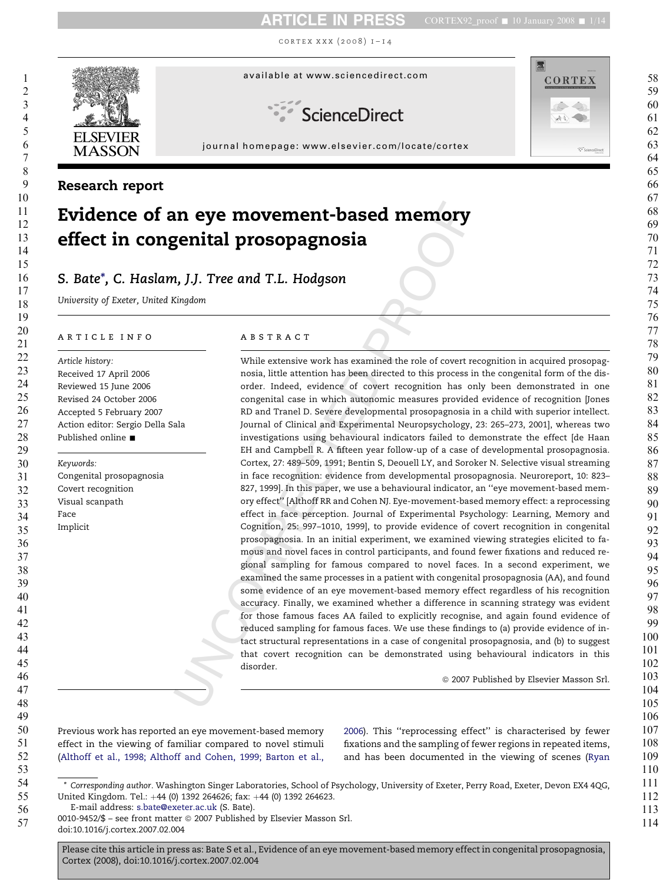cortex xxx (2008) 1–14



# Research report

# Evidence of an eye movement-based memory effect in congenital prosopagnosia

# S. Bate \*, C. Haslam, J.J. Tree and T.L. Hodgson

University of Exeter, United Kingdom

# article info

Article history: Received 17 April 2006 Reviewed 15 June 2006 Revised 24 October 2006 Accepted 5 February 2007 Action editor: Sergio Della Sala Published online ∎ Keywords: Congenital prosopagnosia Covert recognition Visual scanpath Face Implicit

# **ABSTRACT**

**In eye movement-based memory**<br> **Senital prosopagnosia**<br> **CALC ACC CORRECT CONSUMBED AND CONSUMBED AND CONSUMBED AND CONSUMBED (SURFACT While extensive work has examined the role of covert roosin, little attention has been** While extensive work has examined the role of covert recognition in acquired prosopagnosia, little attention has been directed to this process in the congenital form of the disorder. Indeed, evidence of covert recognition has only been demonstrated in one congenital case in which autonomic measures provided evidence of recognition [Jones RD and Tranel D. Severe developmental prosopagnosia in a child with superior intellect. Journal of Clinical and Experimental Neuropsychology, 23: 265–273, 2001], whereas two investigations using behavioural indicators failed to demonstrate the effect [de Haan EH and Campbell R. A fifteen year follow-up of a case of developmental prosopagnosia. Cortex, 27: 489–509, 1991; Bentin S, Deouell LY, and Soroker N. Selective visual streaming in face recognition: evidence from developmental prosopagnosia. Neuroreport, 10: 823– 827, 1999]. In this paper, we use a behavioural indicator, an ''eye movement-based memory effect'' [Althoff RR and Cohen NJ. Eye-movement-based memory effect: a reprocessing effect in face perception. Journal of Experimental Psychology: Learning, Memory and Cognition, 25: 997–1010, 1999], to provide evidence of covert recognition in congenital prosopagnosia. In an initial experiment, we examined viewing strategies elicited to famous and novel faces in control participants, and found fewer fixations and reduced regional sampling for famous compared to novel faces. In a second experiment, we examined the same processes in a patient with congenital prosopagnosia (AA), and found some evidence of an eye movement-based memory effect regardless of his recognition accuracy. Finally, we examined whether a difference in scanning strategy was evident for those famous faces AA failed to explicitly recognise, and again found evidence of reduced sampling for famous faces. We use these findings to (a) provide evidence of intact structural representations in a case of congenital prosopagnosia, and (b) to suggest that covert recognition can be demonstrated using behavioural indicators in this disorder.

 $\odot$  2007 Published by Elsevier Masson Srl.

Previous work has reported an eye movement-based memory effect in the viewing of familiar compared to novel stimuli [\(Althoff et al., 1998; Althoff and Cohen, 1999; Barton et al.,](#page-11-0) ). This ''reprocessing effect'' is characterised by fewer fixations and the sampling of fewer regions in repeated items, and has been documented in the viewing of scenes [\(Ryan](#page-13-0)

E-mail address: [s.bate@exeter.ac.uk](mailto:s.bate@exeter.ac.uk) (S. Bate).

doi:10.1016/j.cortex.2007.02.004

Please cite this article in press as: Bate S et al., Evidence of an eye movement-based memory effect in congenital prosopagnosia, Cortex (2008), doi:10.1016/j.cortex.2007.02.004

<sup>\*</sup> Corresponding author. Washington Singer Laboratories, School of Psychology, University of Exeter, Perry Road, Exeter, Devon EX4 4QG, United Kingdom. Tel.: þ44 (0) 1392 264626; fax: þ44 (0) 1392 264623.

0010-9452/\$ – see front matter © 2007 Published by Elsevier Masson Srl.  $114$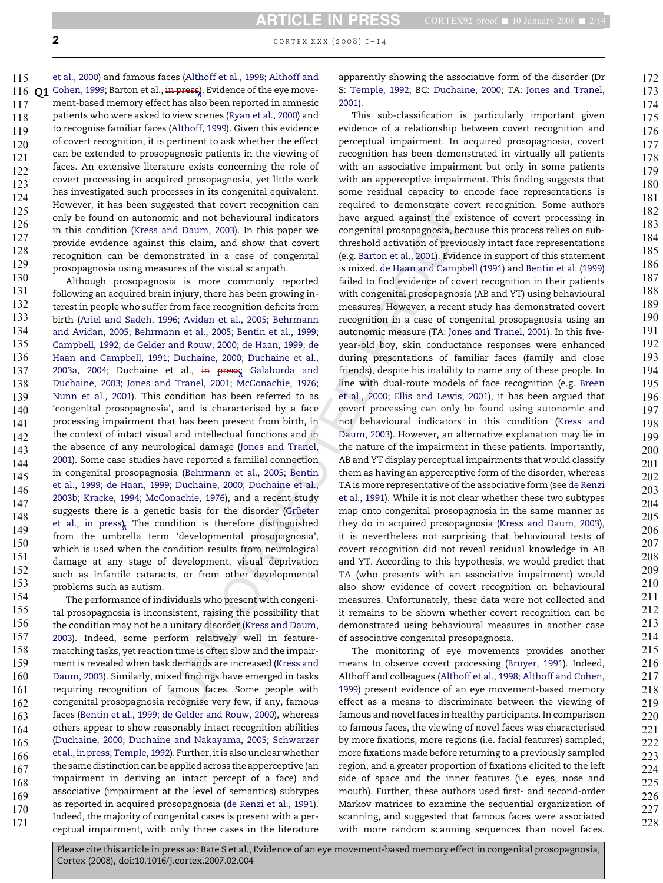[et al., 2000](#page-13-0)) and famous faces ([Althoff et al., 1998; Althoff and](#page-11-0) 116  $\,$  Q1  $\,$  [Cohen, 1999](#page-11-0); Barton et al., <del>in press</del>). Evidence of the eye movement-based memory effect has also been reported in amnesic patients who were asked to view scenes ([Ryan et al., 2000](#page-13-0)) and to recognise familiar faces [\(Althoff, 1999](#page-11-0)). Given this evidence of covert recognition, it is pertinent to ask whether the effect can be extended to prosopagnosic patients in the viewing of faces. An extensive literature exists concerning the role of covert processing in acquired prosopagnosia, yet little work has investigated such processes in its congenital equivalent. However, it has been suggested that covert recognition can only be found on autonomic and not behavioural indicators in this condition [\(Kress and Daum, 2003\)](#page-12-0). In this paper we provide evidence against this claim, and show that covert recognition can be demonstrated in a case of congenital prosopagnosia using measures of the visual scanpath. 115 117 118 119 120 121 122 123 124 125 126 127 128 129

Although prosopagnosia is more commonly reported following an acquired brain injury, there has been growing interest in people who suffer from face recognition deficits from birth [\(Ariel and Sadeh, 1996; Avidan et al., 2005; Behrmann](#page-11-0) [and Avidan, 2005; Behrmann et al., 2005; Bentin et al., 1999;](#page-11-0) [Campbell, 1992; de Gelder and Rouw, 2000; de Haan, 1999; de](#page-11-0) [Haan and Campbell, 1991; Duchaine, 2000; Duchaine et al.,](#page-11-0) [2003a, 2004;](#page-11-0) Duchaine et al., in press; Galaburda and [Duchaine, 2003; Jones and Tranel, 2001; McConachie, 1976;](#page-12-0) [Nunn et al., 2001](#page-12-0)). This condition has been referred to as 'congenital prosopagnosia', and is characterised by a face processing impairment that has been present from birth, in the context of intact visual and intellectual functions and in the absence of any neurological damage (Jones and Tranel, [2001\)](#page-12-0). Some case studies have reported a familial connection in congenital prosopagnosia (Behrmann et al., 2005; Bentin [et al., 1999; de Haan, 1999; Duchaine, 2000; Duchaine et al.,](#page-11-0) [2003b; Kracke, 1994; McConachie, 1976](#page-11-0)), and a recent study suggests there is a genetic basis for the disorder (Grüeter [et al., in press](#page-12-0)). The condition is therefore distinguished from the umbrella term 'developmental prosopagnosia', which is used when the condition results from neurological damage at any stage of development, visual deprivation such as infantile cataracts, or from other developmental problems such as autism. 130 131 132 133 134 135 136 137 138 139 140 141 142 143 144 145 146 147 148 149 150 151 152 153

The performance of individuals who present with congenital prosopagnosia is inconsistent, raising the possibility that the condition may not be a unitary disorder (Kress and Daum, [2003\)](#page-12-0). Indeed, some perform relatively well in featurematching tasks, yet reaction time is often slow and the impairment is revealed when task demands are increased (Kress and [Daum, 2003\)](#page-12-0). Similarly, mixed findings have emerged in tasks requiring recognition of famous faces. Some people with congenital prosopagnosia recognise very few, if any, famous faces [\(Bentin et al., 1999; de Gelder and Rouw, 2000](#page-12-0)), whereas others appear to show reasonably intact recognition abilities ([Duchaine, 2000; Duchaine and Nakayama, 2005; Schwarzer](#page-12-0) [et al., in press; Temple, 1992\)](#page-12-0). Further, it is also unclear whether the same distinction can be applied across the apperceptive (an impairment in deriving an intact percept of a face) and associative (impairment at the level of semantics) subtypes as reported in acquired prosopagnosia [\(de Renzi et al., 1991\)](#page-12-0). Indeed, the majority of congenital cases is present with a perceptual impairment, with only three cases in the literature 154 155 156 157 158 159 160 161 162 163 164 165 166 167 168 169 170 171

apparently showing the associative form of the disorder (Dr S: [Temple, 1992;](#page-13-0) BC: [Duchaine, 2000](#page-12-0); TA: [Jones and Tranel,](#page-12-0) [2001\)](#page-12-0).

egeted that covert recognition can required to demonstrate cover<br>is call and constrate computed by demonstrate constrained by this place and Daum, 2003). In this paper we congenital prosopagnosia, be this claim, and show t This sub-classification is particularly important given evidence of a relationship between covert recognition and perceptual impairment. In acquired prosopagnosia, covert recognition has been demonstrated in virtually all patients with an associative impairment but only in some patients with an apperceptive impairment. This finding suggests that some residual capacity to encode face representations is required to demonstrate covert recognition. Some authors have argued against the existence of covert processing in congenital prosopagnosia, because this process relies on subthreshold activation of previously intact face representations (e.g. Barton et al., 2001). Evidence in support of this statement is mixed. [de Haan and Campbell \(1991\)](#page-12-0) and [Bentin et al. \(1999\)](#page-12-0) failed to find evidence of covert recognition in their patients with congenital prosopagnosia (AB and YT) using behavioural measures. However, a recent study has demonstrated covert recognition in a case of congenital prosopagnosia using an autonomic measure (TA: [Jones and Tranel, 2001](#page-12-0)). In this fiveyear-old boy, skin conductance responses were enhanced during presentations of familiar faces (family and close friends), despite his inability to name any of these people. In line with dual-route models of face recognition (e.g. [Breen](#page-12-0) [et al., 2000; Ellis and Lewis, 2001\)](#page-12-0), it has been argued that covert processing can only be found using autonomic and not behavioural indicators in this condition [\(Kress and](#page-12-0) [Daum, 2003](#page-12-0)). However, an alternative explanation may lie in the nature of the impairment in these patients. Importantly, AB and YT display perceptual impairments that would classify them as having an apperceptive form of the disorder, whereas TA is more representative of the associative form (see [de Renzi](#page-12-0) [et al., 1991\)](#page-12-0). While it is not clear whether these two subtypes map onto congenital prosopagnosia in the same manner as they do in acquired prosopagnosia ([Kress and Daum, 2003\)](#page-12-0), it is nevertheless not surprising that behavioural tests of covert recognition did not reveal residual knowledge in AB and YT. According to this hypothesis, we would predict that TA (who presents with an associative impairment) would also show evidence of covert recognition on behavioural measures. Unfortunately, these data were not collected and it remains to be shown whether covert recognition can be demonstrated using behavioural measures in another case of associative congenital prosopagnosia.

The monitoring of eye movements provides another means to observe covert processing [\(Bruyer, 1991\)](#page-12-0). Indeed, Althoff and colleagues ([Althoff et al., 1998; Althoff and Cohen,](#page-11-0) 1999) present evidence of an eye movement-based memory effect as a means to discriminate between the viewing of famous and novel faces in healthy participants. In comparison to famous faces, the viewing of novel faces was characterised by more fixations, more regions (i.e. facial features) sampled, more fixations made before returning to a previously sampled region, and a greater proportion of fixations elicited to the left side of space and the inner features (i.e. eyes, nose and mouth). Further, these authors used first- and second-order Markov matrices to examine the sequential organization of scanning, and suggested that famous faces were associated with more random scanning sequences than novel faces.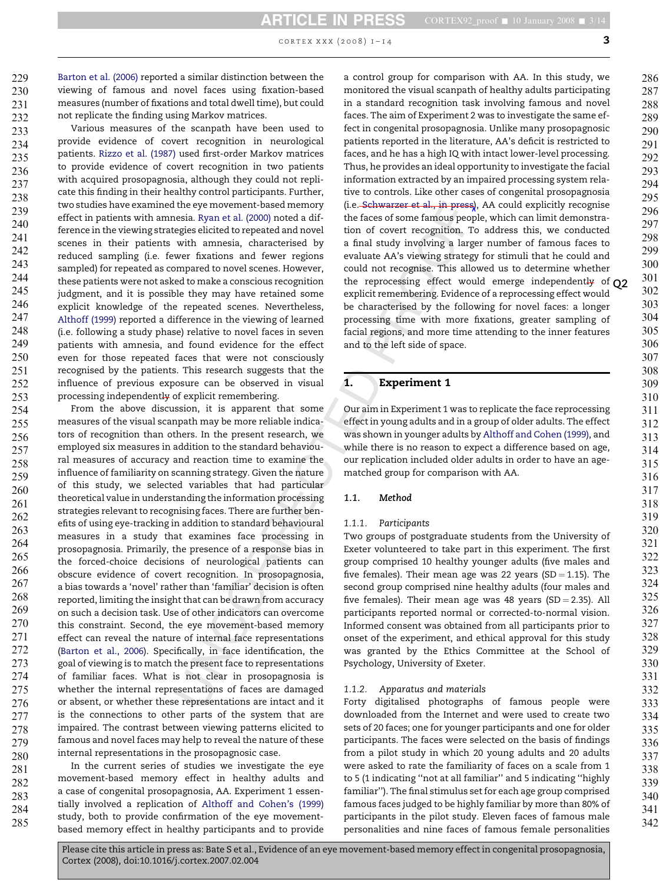cortex xxx (2008) 1–14

3

[Barton et al. \(2006\)](#page-11-0) reported a similar distinction between the viewing of famous and novel faces using fixation-based measures (number of fixations and total dwell time), but could not replicate the finding using Markov matrices. 229 230 231 232

Various measures of the scanpath have been used to provide evidence of covert recognition in neurological patients. [Rizzo et al. \(1987\)](#page-12-0) used first-order Markov matrices to provide evidence of covert recognition in two patients with acquired prosopagnosia, although they could not replicate this finding in their healthy control participants. Further, two studies have examined the eye movement-based memory effect in patients with amnesia. [Ryan et al. \(2000\)](#page-13-0) noted a difference in the viewing strategies elicited to repeated and novel scenes in their patients with amnesia, characterised by reduced sampling (i.e. fewer fixations and fewer regions sampled) for repeated as compared to novel scenes. However, these patients were not asked to make a conscious recognition judgment, and it is possible they may have retained some explicit knowledge of the repeated scenes. Nevertheless, [Althoff \(1999\)](#page-11-0) reported a difference in the viewing of learned (i.e. following a study phase) relative to novel faces in seven patients with amnesia, and found evidence for the effect even for those repeated faces that were not consciously recognised by the patients. This research suggests that the influence of previous exposure can be observed in visual processing independently of explicit remembering. 233 234 235 236 237 238 239 240 241 242 243 244 245 246 247 248 249 250 251 252 253

the eye movement-based memory (i.e. sehwaraze-et-is, in presspectering the residual memory (i.e. seeinal, a<br>Nyan et al. (2000) noted a dif-<br>the faces of some farmous people esties all two memoirs, characteristed by a fina From the above discussion, it is apparent that some measures of the visual scanpath may be more reliable indicators of recognition than others. In the present research, we employed six measures in addition to the standard behavioural measures of accuracy and reaction time to examine the influence of familiarity on scanning strategy. Given the nature of this study, we selected variables that had particular theoretical value in understanding the information processing strategies relevant to recognising faces. There are further benefits of using eye-tracking in addition to standard behavioural measures in a study that examines face processing in prosopagnosia. Primarily, the presence of a response bias in the forced-choice decisions of neurological patients can obscure evidence of covert recognition. In prosopagnosia, a bias towards a 'novel' rather than 'familiar' decision is often reported, limiting the insight that can be drawn from accuracy on such a decision task. Use of other indicators can overcome this constraint. Second, the eye movement-based memory effect can reveal the nature of internal face representations [\(Barton et al., 2006](#page-11-0)). Specifically, in face identification, the goal of viewing is to match the present face to representations of familiar faces. What is not clear in prosopagnosia is whether the internal representations of faces are damaged or absent, or whether these representations are intact and it is the connections to other parts of the system that are impaired. The contrast between viewing patterns elicited to famous and novel faces may help to reveal the nature of these internal representations in the prosopagnosic case. 254 255 256 257 258 259 260 261 262 263 264 265 266 267 268 269 270 271 272 273 274 275 276 277 278 279 280

In the current series of studies we investigate the eye movement-based memory effect in healthy adults and a case of congenital prosopagnosia, AA. Experiment 1 essentially involved a replication of [Althoff and Cohen's \(1999\)](#page-11-0) study, both to provide confirmation of the eye movementbased memory effect in healthy participants and to provide 281 282 283 284 285

a control group for comparison with AA. In this study, we monitored the visual scanpath of healthy adults participating in a standard recognition task involving famous and novel faces. The aim of Experiment 2 was to investigate the same effect in congenital prosopagnosia. Unlike many prosopagnosic patients reported in the literature, AA's deficit is restricted to faces, and he has a high IQ with intact lower-level processing. Thus, he provides an ideal opportunity to investigate the facial information extracted by an impaired processing system relative to controls. Like other cases of congenital prosopagnosia (i.e. Schwarzer et al., in press), AA could explicitly recognise the faces of some famous people, which can limit demonstration of covert recognition. To address this, we conducted a final study involving a larger number of famous faces to evaluate AA's viewing strategy for stimuli that he could and could not recognise. This allowed us to determine whether the reprocessing effect would emerge independently of  $O2$ explicit remembering. Evidence of a reprocessing effect would be characterised by the following for novel faces: a longer processing time with more fixations, greater sampling of facial regions, and more time attending to the inner features and to the left side of space.

# 1. Experiment 1

Our aim in Experiment 1 was to replicate the face reprocessing effect in young adults and in a group of older adults. The effect was shown in younger adults by [Althoff and Cohen \(1999\)](#page-11-0), and while there is no reason to expect a difference based on age, our replication included older adults in order to have an agematched group for comparison with AA.

# 1.1. Method

# 1.1.1. Participants

Two groups of postgraduate students from the University of Exeter volunteered to take part in this experiment. The first group comprised 10 healthy younger adults (five males and five females). Their mean age was 22 years (SD  $=$  1.15). The second group comprised nine healthy adults (four males and five females). Their mean age was 48 years (SD = 2.35). All participants reported normal or corrected-to-normal vision. Informed consent was obtained from all participants prior to onset of the experiment, and ethical approval for this study was granted by the Ethics Committee at the School of Psychology, University of Exeter.

# 1.1.2. Apparatus and materials

Forty digitalised photographs of famous people were downloaded from the Internet and were used to create two sets of 20 faces; one for younger participants and one for older participants. The faces were selected on the basis of findings from a pilot study in which 20 young adults and 20 adults were asked to rate the familiarity of faces on a scale from 1 to 5 (1 indicating ''not at all familiar'' and 5 indicating ''highly familiar''). The final stimulus set for each age group comprised famous faces judged to be highly familiar by more than 80% of participants in the pilot study. Eleven faces of famous male personalities and nine faces of famous female personalities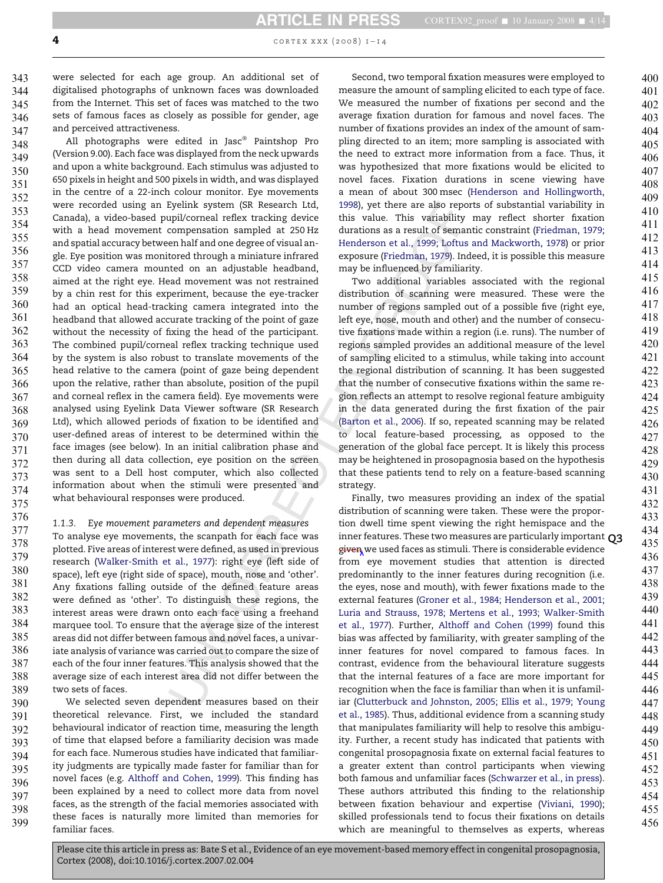were selected for each age group. An additional set of digitalised photographs of unknown faces was downloaded from the Internet. This set of faces was matched to the two sets of famous faces as closely as possible for gender, age and perceived attractiveness. 343 344 345 346 347

Eyelink system (SR Research Ltd, 1998), yet there are also reported that means that may explic orient and one degree of visual and the contrast are also reported through a miniature infrared exposure (Friedman, 1979). Ind All photographs were edited in Jasc® Paintshop Pro (Version 9.00). Each face was displayed from the neck upwards and upon a white background. Each stimulus was adjusted to 650 pixels in height and 500 pixels in width, and was displayed in the centre of a 22-inch colour monitor. Eye movements were recorded using an Eyelink system (SR Research Ltd, Canada), a video-based pupil/corneal reflex tracking device with a head movement compensation sampled at 250 Hz and spatial accuracy between half and one degree of visual angle. Eye position was monitored through a miniature infrared CCD video camera mounted on an adjustable headband, aimed at the right eye. Head movement was not restrained by a chin rest for this experiment, because the eye-tracker had an optical head-tracking camera integrated into the headband that allowed accurate tracking of the point of gaze without the necessity of fixing the head of the participant. The combined pupil/corneal reflex tracking technique used by the system is also robust to translate movements of the head relative to the camera (point of gaze being dependent upon the relative, rather than absolute, position of the pupil and corneal reflex in the camera field). Eye movements were analysed using Eyelink Data Viewer software (SR Research Ltd), which allowed periods of fixation to be identified and user-defined areas of interest to be determined within the face images (see below). In an initial calibration phase and then during all data collection, eye position on the screen was sent to a Dell host computer, which also collected information about when the stimuli were presented and what behavioural responses were produced. 348 349 350 351 352 353 354 355 356 357 358 359 360 361 362 363 364 365 366 367 368 369 370 371 372 373 374 375

1.1.3. Eye movement parameters and dependent measures To analyse eye movements, the scanpath for each face was plotted. Five areas of interest were defined, as used in previous research [\(Walker-Smith et al., 1977\)](#page-13-0): right eye (left side of space), left eye (right side of space), mouth, nose and 'other'. Any fixations falling outside of the defined feature areas were defined as 'other'. To distinguish these regions, the interest areas were drawn onto each face using a freehand marquee tool. To ensure that the average size of the interest areas did not differ between famous and novel faces, a univariate analysis of variance was carried out to compare the size of each of the four inner features. This analysis showed that the average size of each interest area did not differ between the two sets of faces. 376 377 378 379 380 381 382 383 384 385 386 387 388 389

We selected seven dependent measures based on their theoretical relevance. First, we included the standard behavioural indicator of reaction time, measuring the length of time that elapsed before a familiarity decision was made for each face. Numerous studies have indicated that familiarity judgments are typically made faster for familiar than for novel faces (e.g. [Althoff and Cohen, 1999\)](#page-11-0). This finding has been explained by a need to collect more data from novel faces, as the strength of the facial memories associated with these faces is naturally more limited than memories for familiar faces. 390 391 392 393 394 395 396 397 398 399

Second, two temporal fixation measures were employed to measure the amount of sampling elicited to each type of face. We measured the number of fixations per second and the average fixation duration for famous and novel faces. The number of fixations provides an index of the amount of sampling directed to an item; more sampling is associated with the need to extract more information from a face. Thus, it was hypothesized that more fixations would be elicited to novel faces. Fixation durations in scene viewing have a mean of about 300 msec ([Henderson and Hollingworth,](#page-12-0) [1998\)](#page-12-0), yet there are also reports of substantial variability in this value. This variability may reflect shorter fixation durations as a result of semantic constraint [\(Friedman, 1979;](#page-12-0) [Henderson et al., 1999; Loftus and Mackworth, 1978](#page-12-0)) or prior exposure (Friedman, 1979). Indeed, it is possible this measure may be influenced by familiarity.

Two additional variables associated with the regional distribution of scanning were measured. These were the number of regions sampled out of a possible five (right eye, left eye, nose, mouth and other) and the number of consecutive fixations made within a region (i.e. runs). The number of regions sampled provides an additional measure of the level of sampling elicited to a stimulus, while taking into account the regional distribution of scanning. It has been suggested that the number of consecutive fixations within the same region reflects an attempt to resolve regional feature ambiguity in the data generated during the first fixation of the pair ([Barton et al., 2006](#page-11-0)). If so, repeated scanning may be related to local feature-based processing, as opposed to the generation of the global face percept. It is likely this process may be heightened in prosopagnosia based on the hypothesis that these patients tend to rely on a feature-based scanning strategy.

Finally, two measures providing an index of the spatial distribution of scanning were taken. These were the proportion dwell time spent viewing the right hemispace and the inner features. These two measures are particularly important Q3 given we used faces as stimuli. There is considerable evidence from eye movement studies that attention is directed predominantly to the inner features during recognition (i.e. the eyes, nose and mouth), with fewer fixations made to the external features ([Groner et al., 1984; Henderson et al., 2001;](#page-12-0) [Luria and Strauss, 1978; Mertens et al., 1993; Walker-Smith](#page-12-0) [et al., 1977](#page-12-0)). Further, [Althoff and Cohen \(1999\)](#page-11-0) found this bias was affected by familiarity, with greater sampling of the inner features for novel compared to famous faces. In contrast, evidence from the behavioural literature suggests that the internal features of a face are more important for recognition when the face is familiar than when it is unfamiliar [\(Clutterbuck and Johnston, 2005; Ellis et al., 1979; Young](#page-12-0) [et al., 1985](#page-12-0)). Thus, additional evidence from a scanning study that manipulates familiarity will help to resolve this ambiguity. Further, a recent study has indicated that patients with congenital prosopagnosia fixate on external facial features to a greater extent than control participants when viewing both famous and unfamiliar faces [\(Schwarzer et al., in press\)](#page-13-0). These authors attributed this finding to the relationship between fixation behaviour and expertise [\(Viviani, 1990\)](#page-13-0); skilled professionals tend to focus their fixations on details which are meaningful to themselves as experts, whereas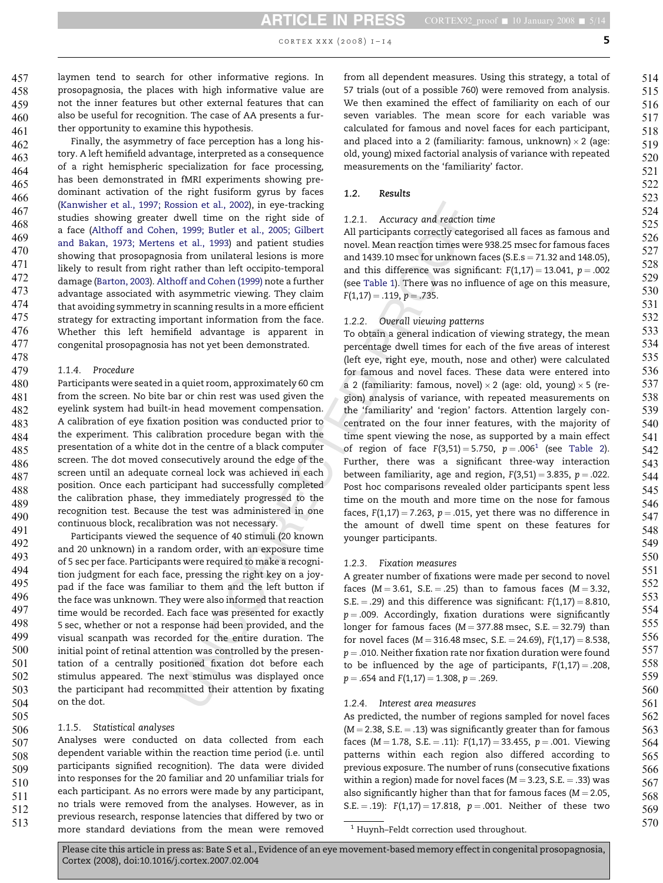cortex xxx (2008) 1–14

laymen tend to search for other informative regions. In prosopagnosia, the places with high informative value are not the inner features but other external features that can also be useful for recognition. The case of AA presents a further opportunity to examine this hypothesis. 457 458 459 460 461

Finally, the asymmetry of face perception has a long history. A left hemifield advantage, interpreted as a consequence of a right hemispheric specialization for face processing, has been demonstrated in fMRI experiments showing predominant activation of the right fusiform gyrus by faces [\(Kanwisher et al., 1997; Rossion et al., 2002\)](#page-12-0), in eye-tracking studies showing greater dwell time on the right side of a face ([Althoff and Cohen, 1999; Butler et al., 2005; Gilbert](#page-11-0) [and Bakan, 1973; Mertens et al., 1993\)](#page-11-0) and patient studies showing that prosopagnosia from unilateral lesions is more likely to result from right rather than left occipito-temporal damage ([Barton, 2003](#page-11-0)). [Althoff and Cohen \(1999\)](#page-11-0) note a further advantage associated with asymmetric viewing. They claim that avoiding symmetry in scanning results in a more efficient strategy for extracting important information from the face. Whether this left hemifield advantage is apparent in congenital prosopagnosia has not yet been demonstrated. 462 463 464 465 466 467 468 469 470 471 472 473 474 475 476 477 478

#### 1.1.4. Procedure 479

Participants were seated in a quiet room, approximately 60 cm from the screen. No bite bar or chin rest was used given the eyelink system had built-in head movement compensation. A calibration of eye fixation position was conducted prior to the experiment. This calibration procedure began with the presentation of a white dot in the centre of a black computer screen. The dot moved consecutively around the edge of the screen until an adequate corneal lock was achieved in each position. Once each participant had successfully completed the calibration phase, they immediately progressed to the recognition test. Because the test was administered in one continuous block, recalibration was not necessary. 480 481 482 483 484 485 486 487 488 489 490 491

Participants viewed the sequence of 40 stimuli (20 known and 20 unknown) in a random order, with an exposure time of 5 sec per face. Participants were required to make a recognition judgment for each face, pressing the right key on a joypad if the face was familiar to them and the left button if the face was unknown. They were also informed that reaction time would be recorded. Each face was presented for exactly 5 sec, whether or not a response had been provided, and the visual scanpath was recorded for the entire duration. The initial point of retinal attention was controlled by the presentation of a centrally positioned fixation dot before each stimulus appeared. The next stimulus was displayed once the participant had recommitted their attention by fixating on the dot. 492 493 494 495 496 497 498 499 500 501 502 503 504

#### 1.1.5. Statistical analyses 506

505

Analyses were conducted on data collected from each dependent variable within the reaction time period (i.e. until participants signified recognition). The data were divided into responses for the 20 familiar and 20 unfamiliar trials for each participant. As no errors were made by any participant, no trials were removed from the analyses. However, as in previous research, response latencies that differed by two or more standard deviations from the mean were removed 507 508 509 510 511 512 513

from all dependent measures. Using this strategy, a total of 57 trials (out of a possible 760) were removed from analysis. We then examined the effect of familiarity on each of our seven variables. The mean score for each variable was calculated for famous and novel faces for each participant, and placed into a 2 (familiarity: famous, unknown)  $\times$  2 (age: old, young) mixed factorial analysis of variance with repeated measurements on the 'familiarity' factor.

### 1.2. Results

# 1.2.1. Accuracy and reaction time

All participants correctly categorised all faces as famous and novel. Mean reaction times were 938.25 msec for famous faces and 1439.10 msec for unknown faces (S.E.s  $=$  71.32 and 148.05), and this difference was significant:  $F(1,17) = 13.041, p = .002$ (see Table 1). There was no influence of age on this measure,  $F(1,17) = .119$ ,  $p = .735$ .

# 1.2.2. Overall viewing patterns

ssion et al., 2002), in eye-tracking<br>some devell time on the right side of 1.2.1. Accuracy and reaction<br>dwell time on the right side of 1.2.1. Accuracy and reaction<br>in 1999; Butler et al., 2005; Gilbert All participants c To obtain a general indication of viewing strategy, the mean percentage dwell times for each of the five areas of interest (left eye, right eye, mouth, nose and other) were calculated for famous and novel faces. These data were entered into a 2 (familiarity: famous, novel) $\times$  2 (age: old, young) $\times$  5 (region) analysis of variance, with repeated measurements on the 'familiarity' and 'region' factors. Attention largely concentrated on the four inner features, with the majority of time spent viewing the nose, as supported by a main effect of region of face  $F(3,51) = 5.750$ ,  $p = .006<sup>1</sup>$  (see [Table 2](#page-5-0)). Further, there was a significant three-way interaction between familiarity, age and region, F(3,51)  $=$  3.835,  $\emph{p}$   $=$  .022. Post hoc comparisons revealed older participants spent less time on the mouth and more time on the nose for famous faces, F(1,17)  $=$  7.263,  $p = .015$ , yet there was no difference in the amount of dwell time spent on these features for younger participants.

### 1.2.3. Fixation measures

A greater number of fixations were made per second to novel faces (M  $=$  3.61, S.E.  $=$  .25) than to famous faces (M  $=$  3.32, S.E.  $=$  .29) and this difference was significant:  $F(1,17) = 8.810,$  $\displaystyle{p=.009.}$  Accordingly, fixation durations were significantly longer for famous faces (M  $=$  377.88 msec, S.E.  $=$  32.79) than for novel faces (M = 316.48 msec, S.E. = 24.69),  $F(1,17) = 8.538$ ,  $\emph{p} =$  .010. Neither fixation rate nor fixation duration were found to be influenced by the age of participants,  $F(1,17) = .208$ ,  $p = .654$  and F(1,17)  $= 1.308,\, p = .269.$ 

### 1.2.4. Interest area measures

As predicted, the number of regions sampled for novel faces  $(M = 2.38, S.E. = .13)$  was significantly greater than for famous faces (M = 1.78, S.E. = .11):  $F(1,17) = 33.455$ , p = .001. Viewing patterns within each region also differed according to previous exposure. The number of runs (consecutive fixations within a region) made for novel faces (M  $=$  3.23, S.E.  $=$  .33) was also significantly higher than that for famous faces (M  $=$  2.05,  $\,$ S.E.  $=$  .19):  $F(1,17) = 17.818$ ,  $p = .001$ . Neither of these two

<sup>1</sup> Huynh-Feldt correction used throughout.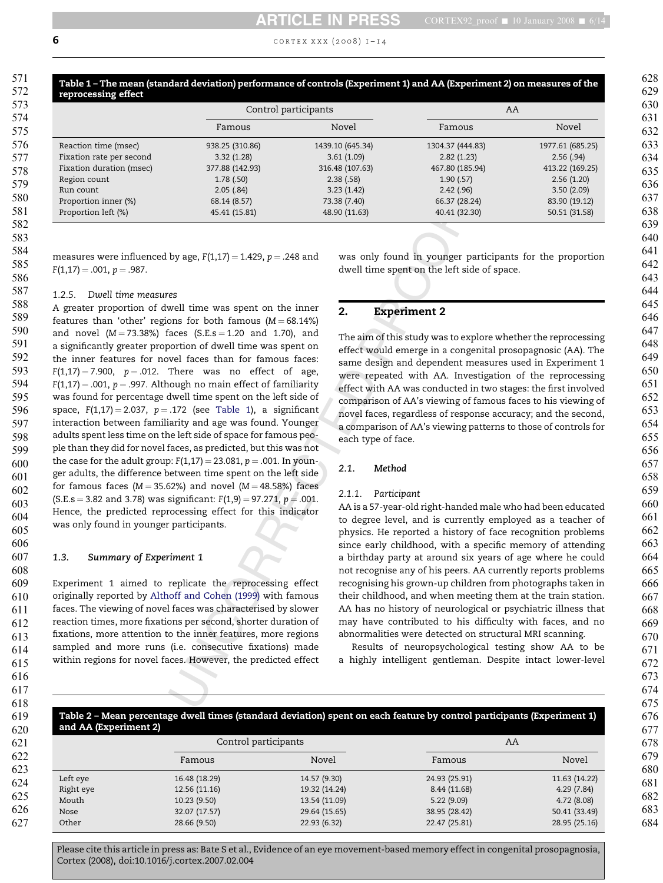<span id="page-5-0"></span>

|                          | Control participants |                  |                  | AA               |
|--------------------------|----------------------|------------------|------------------|------------------|
|                          | Famous               | Novel            | Famous           | Novel            |
| Reaction time (msec)     | 938.25 (310.86)      | 1439.10 (645.34) | 1304.37 (444.83) | 1977.61 (685.25) |
| Fixation rate per second | 3.32(1.28)           | 3.61(1.09)       | 2.82(1.23)       | 2.56(.94)        |
| Fixation duration (msec) | 377.88 (142.93)      | 316.48 (107.63)  | 467.80 (185.94)  | 413.22 (169.25)  |
| Region count             | 1.78(.50)            | 2.38(.58)        | 1.90(.57)        | 2.56(1.20)       |
| Run count                | 2.05(.84)            | 3.23(1.42)       | 2.42(.96)        | 3.50(2.09)       |
| Proportion inner (%)     | 68.14 (8.57)         | 73.38 (7.40)     | 66.37 (28.24)    | 83.90 (19.12)    |
| Proportion left (%)      | 45.41 (15.81)        | 48.90 (11.63)    | 40.41 (32.30)    | 50.51 (31.58)    |

measures were influenced by age, F(1,17)  $=$  1.429,  $p$   $=$  .248 and  $F(1,17) = .001, p = .987.$ 584 585 586

#### 1.2.5. Dwell time measures 587

65.4 (6.57)<br>
65.4 (1.58)<br>
48.30 (1.163)<br>
48.30 (1.163)<br>
48.30 (1.163)<br>
by age,  $F(1,17) = 1.429$ ,  $p = .248$  and<br>
well time spent on the left since<br>
example from the spent of the spent on the left since<br>
caces (S.E.s. 1.20 a A greater proportion of dwell time was spent on the inner features than 'other' regions for both famous (M $=$  68.14%) and novel  $(M = 73.38%)$  faces  $(S.E.s = 1.20$  and 1.70), and a significantly greater proportion of dwell time was spent on the inner features for novel faces than for famous faces:  $F(1,17) = 7.900$ ,  $p = .012$ . There was no effect of age,  $F(1,17) = .001$ ,  $p = .997$ . Although no main effect of familiarity was found for percentage dwell time spent on the left side of space,  $F(1,17) = 2.037$ ,  $p = .172$  (see Table 1), a significant interaction between familiarity and age was found. Younger adults spent less time on the left side of space for famous people than they did for novel faces, as predicted, but this was not the case for the adult group: F(1,17) = 23.081,  $p = .001$ . In younger adults, the difference between time spent on the left side for famous faces (M  $=$  35.62%) and novel (M  $=$  48.58%) faces  $(S.E.s = 3.82 \text{ and } 3.78)$  was significant:  $F(1,9) = 97.271$ ,  $p = .001$ . Hence, the predicted reprocessing effect for this indicator was only found in younger participants. 588 589 590 591 592 593 594 595 596 597 598 599 600 601 602 603 604 605

# 1.3. Summary of Experiment 1

Experiment 1 aimed to replicate the reprocessing effect originally reported by [Althoff and Cohen \(1999\)](#page-11-0) with famous faces. The viewing of novel faces was characterised by slower reaction times, more fixations per second, shorter duration of fixations, more attention to the inner features, more regions sampled and more runs (i.e. consecutive fixations) made within regions for novel faces. However, the predicted effect 609 610 611 612 613 614 615

was only found in younger participants for the proportion dwell time spent on the left side of space.

# 2. Experiment 2

The aim of this study was to explore whether the reprocessing effect would emerge in a congenital prosopagnosic (AA). The same design and dependent measures used in Experiment 1 were repeated with AA. Investigation of the reprocessing effect with AA was conducted in two stages: the first involved comparison of AA's viewing of famous faces to his viewing of novel faces, regardless of response accuracy; and the second, a comparison of AA's viewing patterns to those of controls for each type of face.

# 2.1. Method

### 2.1.1. Participant

AA is a 57-year-old right-handed male who had been educated to degree level, and is currently employed as a teacher of physics. He reported a history of face recognition problems since early childhood, with a specific memory of attending a birthday party at around six years of age where he could not recognise any of his peers. AA currently reports problems recognising his grown-up children from photographs taken in their childhood, and when meeting them at the train station. AA has no history of neurological or psychiatric illness that may have contributed to his difficulty with faces, and no abnormalities were detected on structural MRI scanning.

Results of neuropsychological testing show AA to be a highly intelligent gentleman. Despite intact lower-level

| 61  | n |
|-----|---|
| 617 |   |
| 618 |   |

606 607 608

61 62

|           | Control participants |               | AA            |               |
|-----------|----------------------|---------------|---------------|---------------|
|           | Famous               | Novel         | Famous        | Novel         |
| Left eye  | 16.48 (18.29)        | 14.57 (9.30)  | 24.93 (25.91) | 11.63 (14.22) |
| Right eye | 12.56 (11.16)        | 19.32 (14.24) | 8.44 (11.68)  | 4.29(7.84)    |
| Mouth     | 10.23(9.50)          | 13.54 (11.09) | 5.22(9.09)    | 4.72(8.08)    |
| Nose      | 32.07 (17.57)        | 29.64 (15.65) | 38.95 (28.42) | 50.41 (33.49) |
| Other     | 28.66 (9.50)         | 22.93 (6.32)  | 22.47 (25.81) | 28.95 (25.16) |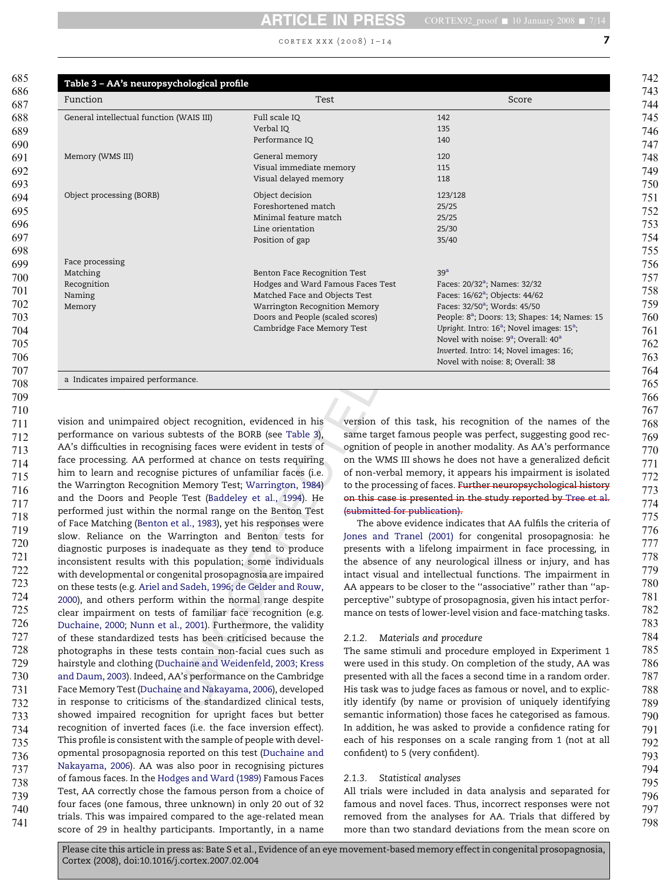# ARTICLE IN PRESS  $CORTEX92\_proof = 10 January 2008 = 7/14$

### cortex xxx (2008) 1–14

7

| Function                                                                                                                                                                                                                                                                                                                                                                                                                                                                                                         | Test                                                           | Score                                                                                                                                                                                                                                                                                                                                                                                                                                                                                                                 |
|------------------------------------------------------------------------------------------------------------------------------------------------------------------------------------------------------------------------------------------------------------------------------------------------------------------------------------------------------------------------------------------------------------------------------------------------------------------------------------------------------------------|----------------------------------------------------------------|-----------------------------------------------------------------------------------------------------------------------------------------------------------------------------------------------------------------------------------------------------------------------------------------------------------------------------------------------------------------------------------------------------------------------------------------------------------------------------------------------------------------------|
| General intellectual function (WAIS III)                                                                                                                                                                                                                                                                                                                                                                                                                                                                         | Full scale IQ                                                  | 142                                                                                                                                                                                                                                                                                                                                                                                                                                                                                                                   |
|                                                                                                                                                                                                                                                                                                                                                                                                                                                                                                                  | Verbal IQ                                                      | 135                                                                                                                                                                                                                                                                                                                                                                                                                                                                                                                   |
|                                                                                                                                                                                                                                                                                                                                                                                                                                                                                                                  | Performance IQ                                                 | 140                                                                                                                                                                                                                                                                                                                                                                                                                                                                                                                   |
| Memory (WMS III)                                                                                                                                                                                                                                                                                                                                                                                                                                                                                                 | General memory                                                 | 120                                                                                                                                                                                                                                                                                                                                                                                                                                                                                                                   |
|                                                                                                                                                                                                                                                                                                                                                                                                                                                                                                                  | Visual immediate memory                                        | 115                                                                                                                                                                                                                                                                                                                                                                                                                                                                                                                   |
|                                                                                                                                                                                                                                                                                                                                                                                                                                                                                                                  | Visual delayed memory                                          | 118                                                                                                                                                                                                                                                                                                                                                                                                                                                                                                                   |
| Object processing (BORB)                                                                                                                                                                                                                                                                                                                                                                                                                                                                                         | Object decision                                                | 123/128                                                                                                                                                                                                                                                                                                                                                                                                                                                                                                               |
|                                                                                                                                                                                                                                                                                                                                                                                                                                                                                                                  | Foreshortened match                                            | 25/25                                                                                                                                                                                                                                                                                                                                                                                                                                                                                                                 |
|                                                                                                                                                                                                                                                                                                                                                                                                                                                                                                                  | Minimal feature match                                          | 25/25                                                                                                                                                                                                                                                                                                                                                                                                                                                                                                                 |
|                                                                                                                                                                                                                                                                                                                                                                                                                                                                                                                  | Line orientation                                               | 25/30                                                                                                                                                                                                                                                                                                                                                                                                                                                                                                                 |
|                                                                                                                                                                                                                                                                                                                                                                                                                                                                                                                  | Position of gap                                                | 35/40                                                                                                                                                                                                                                                                                                                                                                                                                                                                                                                 |
| Face processing                                                                                                                                                                                                                                                                                                                                                                                                                                                                                                  |                                                                |                                                                                                                                                                                                                                                                                                                                                                                                                                                                                                                       |
| Matching                                                                                                                                                                                                                                                                                                                                                                                                                                                                                                         | Benton Face Recognition Test                                   | 39 <sup>a</sup>                                                                                                                                                                                                                                                                                                                                                                                                                                                                                                       |
| Recognition                                                                                                                                                                                                                                                                                                                                                                                                                                                                                                      | Hodges and Ward Famous Faces Test                              | Faces: 20/32 <sup>a</sup> ; Names: 32/32                                                                                                                                                                                                                                                                                                                                                                                                                                                                              |
| Naming                                                                                                                                                                                                                                                                                                                                                                                                                                                                                                           | Matched Face and Objects Test                                  | Faces: 16/62 <sup>a</sup> ; Objects: 44/62                                                                                                                                                                                                                                                                                                                                                                                                                                                                            |
| Memory                                                                                                                                                                                                                                                                                                                                                                                                                                                                                                           | Warrington Recognition Memory                                  | Faces: 32/50 <sup>a</sup> ; Words: 45/50                                                                                                                                                                                                                                                                                                                                                                                                                                                                              |
|                                                                                                                                                                                                                                                                                                                                                                                                                                                                                                                  | Doors and People (scaled scores)<br>Cambridge Face Memory Test | People: 8 <sup>a</sup> ; Doors: 13; Shapes: 14; Names: 15<br>Upright. Intro: 16 <sup>a</sup> ; Novel images: 15 <sup>a</sup> ;                                                                                                                                                                                                                                                                                                                                                                                        |
|                                                                                                                                                                                                                                                                                                                                                                                                                                                                                                                  |                                                                | Novel with noise: 9 <sup>a</sup> ; Overall: 40 <sup>a</sup>                                                                                                                                                                                                                                                                                                                                                                                                                                                           |
|                                                                                                                                                                                                                                                                                                                                                                                                                                                                                                                  |                                                                | Inverted. Intro: 14; Novel images: 16;                                                                                                                                                                                                                                                                                                                                                                                                                                                                                |
|                                                                                                                                                                                                                                                                                                                                                                                                                                                                                                                  |                                                                | Novel with noise: 8; Overall: 38                                                                                                                                                                                                                                                                                                                                                                                                                                                                                      |
| a Indicates impaired performance.<br>vision and unimpaired object recognition, evidenced in his<br>performance on various subtests of the BORB (see Table 3),                                                                                                                                                                                                                                                                                                                                                    |                                                                | version of this task, his recognition of the names of the<br>same target famous people was perfect, suggesting good rec-                                                                                                                                                                                                                                                                                                                                                                                              |
| AA's difficulties in recognising faces were evident in tests of<br>face processing. AA performed at chance on tests requiring<br>him to learn and recognise pictures of unfamiliar faces (i.e.<br>the Warrington Recognition Memory Test; Warrington, 1984)<br>and the Doors and People Test (Baddeley et al., 1994). He<br>performed just within the normal range on the Benton Test<br>of Face Matching (Benton et al., 1983), yet his responses were<br>slow. Reliance on the Warrington and Benton tests for | (submitted for publication).                                   | ognition of people in another modality. As AA's performance<br>on the WMS III shows he does not have a generalized deficit<br>of non-verbal memory, it appears his impairment is isolated<br>to the processing of faces. Further neuropsychological history<br>on this case is presented in the study reported by Tree et al.<br>The above evidence indicates that AA fulfils the criteria of<br>Jones and Tranel (2001) for congenital prosopagnosia: he                                                             |
| diagnostic purposes is inadequate as they tend to produce                                                                                                                                                                                                                                                                                                                                                                                                                                                        |                                                                |                                                                                                                                                                                                                                                                                                                                                                                                                                                                                                                       |
| inconsistent results with this population; some individuals                                                                                                                                                                                                                                                                                                                                                                                                                                                      |                                                                |                                                                                                                                                                                                                                                                                                                                                                                                                                                                                                                       |
| with developmental or congenital prosopagnosia are impaired                                                                                                                                                                                                                                                                                                                                                                                                                                                      |                                                                |                                                                                                                                                                                                                                                                                                                                                                                                                                                                                                                       |
| on these tests (e.g. Ariel and Sadeh, 1996; de Gelder and Rouw,                                                                                                                                                                                                                                                                                                                                                                                                                                                  |                                                                |                                                                                                                                                                                                                                                                                                                                                                                                                                                                                                                       |
| 2000), and others perform within the normal range despite                                                                                                                                                                                                                                                                                                                                                                                                                                                        |                                                                |                                                                                                                                                                                                                                                                                                                                                                                                                                                                                                                       |
| clear impairment on tests of familiar face recognition (e.g.                                                                                                                                                                                                                                                                                                                                                                                                                                                     |                                                                |                                                                                                                                                                                                                                                                                                                                                                                                                                                                                                                       |
| Duchaine, 2000; Nunn et al., 2001). Furthermore, the validity                                                                                                                                                                                                                                                                                                                                                                                                                                                    |                                                                |                                                                                                                                                                                                                                                                                                                                                                                                                                                                                                                       |
| of these standardized tests has been criticised because the                                                                                                                                                                                                                                                                                                                                                                                                                                                      |                                                                | 2.1.2. Materials and procedure                                                                                                                                                                                                                                                                                                                                                                                                                                                                                        |
| photographs in these tests contain non-facial cues such as                                                                                                                                                                                                                                                                                                                                                                                                                                                       |                                                                |                                                                                                                                                                                                                                                                                                                                                                                                                                                                                                                       |
| hairstyle and clothing (Duchaine and Weidenfeld, 2003; Kress                                                                                                                                                                                                                                                                                                                                                                                                                                                     |                                                                | presents with a lifelong impairment in face processing, in<br>the absence of any neurological illness or injury, and has<br>intact visual and intellectual functions. The impairment in<br>AA appears to be closer to the "associative" rather than "ap-<br>perceptive" subtype of prosopagnosia, given his intact perfor-<br>mance on tests of lower-level vision and face-matching tasks.<br>The same stimuli and procedure employed in Experiment 1<br>were used in this study. On completion of the study, AA was |
| and Daum, 2003). Indeed, AA's performance on the Cambridge<br>Face Memory Test (Duchaine and Nakayama, 2006), developed                                                                                                                                                                                                                                                                                                                                                                                          |                                                                | presented with all the faces a second time in a random order.<br>His task was to judge faces as famous or novel, and to explic-                                                                                                                                                                                                                                                                                                                                                                                       |

vision and unimpaired object recognition, evidenced in his performance on various subtests of the BORB (see Table 3), AA's difficulties in recognising faces were evident in tests of face processing. AA performed at chance on tests requiring him to learn and recognise pictures of unfamiliar faces (i.e. the Warrington Recognition Memory Test; Warrington, 1984 ) and the Doors and People Test (Baddeley et al., 1994). He performed just within the normal range on the Benton Test of Face Matching [\(Benton et al., 1983\)](#page-12-0), yet his responses were slow. Reliance on the Warrington and Benton tests for diagnostic purposes is inadequate as they tend to produce inconsistent results with this population; some individuals with developmental or congenital prosopagnosia are impaired on these tests (e.g. [Ariel and Sadeh, 1996; de Gelder and Rouw,](#page-11-0) [2000](#page-11-0)), and others perform within the normal range despite clear impairment on tests of familiar face recognition (e.g. [Duchaine, 2000; Nunn et al., 2001](#page-12-0)). Furthermore, the validity of these standardized tests has been criticised because the photographs in these tests contain non-facial cues such as hairstyle and clothing ([Duchaine and Weidenfeld, 2003; Kress](#page-12-0) [and Daum, 2003\)](#page-12-0). Indeed, AA's performance on the Cambridge Face Memory Test [\(Duchaine and Nakayama, 2006\)](#page-12-0), developed in response to criticisms of the standardized clinical tests, showed impaired recognition for upright faces but better recognition of inverted faces (i.e. the face inversion effect). This profile is consistent with the sample of people with developmental prosopagnosia reported on this test [\(Duchaine and](#page-12-0) [Nakayama, 2006\)](#page-12-0). AA was also poor in recognising pictures of famous faces. In the [Hodges and Ward \(1989\)](#page-12-0) Famous Faces Test, AA correctly chose the famous person from a choice of four faces (one famous, three unknown) in only 20 out of 32 trials. This was impaired compared to the age-related mean score of 29 in healthy participants. Importantly, in a name 711 712 713 714 715 716 717 718 719 720 721 722 723 724 725 726 727 728 729 730 731 732 733 734 735 736 737 738 739 740 741

# 2.1.2. Materials and procedure

The same stimuli and procedure employed in Experiment 1 were used in this study. On completion of the study, AA was presented with all the faces a second time in a random order. His task was to judge faces as famous or novel, and to explicitly identify (by name or provision of uniquely identifying semantic information) those faces he categorised as famous. In addition, he was asked to provide a confidence rating for each of his responses on a scale ranging from 1 (not at all confident) to 5 (very confident).

# 2.1.3. Statistical analyses

All trials were included in data analysis and separated for famous and novel faces. Thus, incorrect responses were not removed from the analyses for AA. Trials that differed by more than two standard deviations from the mean score on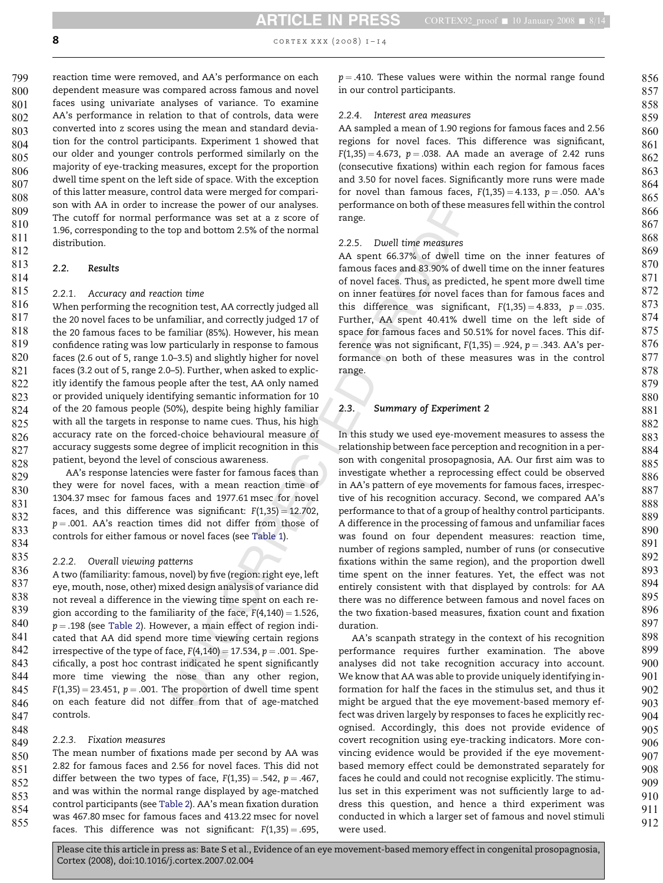reaction time were removed, and AA's performance on each dependent measure was compared across famous and novel faces using univariate analyses of variance. To examine AA's performance in relation to that of controls, data were converted into z scores using the mean and standard deviation for the control participants. Experiment 1 showed that our older and younger controls performed similarly on the majority of eye-tracking measures, except for the proportion dwell time spent on the left side of space. With the exception of this latter measure, control data were merged for comparison with AA in order to increase the power of our analyses. The cutoff for normal performance was set at a z score of 1.96, corresponding to the top and bottom 2.5% of the normal distribution. 799 800 801 802 803 804 805 806 807 808 809 810 811

#### 2.2. Results 813

812

814

2.2.1. Accuracy and reaction time 815

When performing the recognition test, AA correctly judged all the 20 novel faces to be unfamiliar, and correctly judged 17 of the 20 famous faces to be familiar (85%). However, his mean confidence rating was low particularly in response to famous faces (2.6 out of 5, range 1.0–3.5) and slightly higher for novel faces (3.2 out of 5, range 2.0–5). Further, when asked to explicitly identify the famous people after the test, AA only named or provided uniquely identifying semantic information for 10 of the 20 famous people (50%), despite being highly familiar with all the targets in response to name cues. Thus, his high accuracy rate on the forced-choice behavioural measure of accuracy suggests some degree of implicit recognition in this patient, beyond the level of conscious awareness. 816 817 818 819 820 821 822 823 824 825 826 827 828

AA's response latencies were faster for famous faces than they were for novel faces, with a mean reaction time of 1304.37 msec for famous faces and 1977.61 msec for novel faces, and this difference was significant:  $F(1,35) = 12.702$ ,  $p = .001$ . AA's reaction times did not differ from those of controls for either famous or novel faces (see Table 1). 829 830 831 832 833 834

#### 2.2.2. Overall viewing patterns 835

A two (familiarity: famous, novel) by five (region: right eye, left eye, mouth, nose, other) mixed design analysis of variance did not reveal a difference in the viewing time spent on each region according to the familiarity of the face,  $F(4,140) = 1.526$ ,  $p = .198$  (see [Table 2](#page-5-0)). However, a main effect of region indicated that AA did spend more time viewing certain regions irrespective of the type of face, F(4,140) = 17.534,  $p = .001$ . Specifically, a post hoc contrast indicated he spent significantly more time viewing the nose than any other region,  $F(1,35) = 23.451$ ,  $p = .001$ . The proportion of dwell time spent on each feature did not differ from that of age-matched controls. 836 837 838 839 840 841 842 843 844 845 846 847

#### 2.2.3. Fixation measures 849

848

The mean number of fixations made per second by AA was 2.82 for famous faces and 2.56 for novel faces. This did not differ between the two types of face,  $F(1,35) = .542$ ,  $p = .467$ , and was within the normal range displayed by age-matched control participants (see [Table 2\)](#page-5-0). AA's mean fixation duration was 467.80 msec for famous faces and 413.22 msec for novel faces. This difference was not significant:  $F(1,35) = .695$ , 850 851 852 853 854 855

 $\,p\!=\!.410.$  These values were within the normal range found in our control participants.

### 2.2.4. Interest area measures

AA sampled a mean of 1.90 regions for famous faces and 2.56 regions for novel faces. This difference was significant,  $F(1,35) = 4.673$ ,  $p = .038$ . AA made an average of 2.42 runs (consecutive fixations) within each region for famous faces and 3.50 for novel faces. Significantly more runs were made for novel than famous faces,  $F(1,35) = 4.133, p = .050$ . AA's performance on both of these measures fell within the control range.

# 2.2.5. Dwell time measures

AA spent 66.37% of dwell time on the inner features of famous faces and 83.90% of dwell time on the inner features of novel faces. Thus, as predicted, he spent more dwell time on inner features for novel faces than for famous faces and this difference was significant,  $F(1,35) = 4.833$ ,  $p = .035$ . Further, AA spent 40.41% dwell time on the left side of space for famous faces and 50.51% for novel faces. This difference was not significant,  $F(1,35) = .924$ ,  $p = .343$ . AA's performance on both of these measures was in the control range.

### 2.3. Summary of Experiment 2

crease the power of our analyses. performance on both of these<br>crosses the power of our analyses. The formatic was set at a z score of<br>12.2.5. Dwell time measures<br>2.2.5. Dwell time measures<br>2.4.8 pend to find the simulati In this study we used eye-movement measures to assess the relationship between face perception and recognition in a person with congenital prosopagnosia, AA. Our first aim was to investigate whether a reprocessing effect could be observed in AA's pattern of eye movements for famous faces, irrespective of his recognition accuracy. Second, we compared AA's performance to that of a group of healthy control participants. A difference in the processing of famous and unfamiliar faces was found on four dependent measures: reaction time, number of regions sampled, number of runs (or consecutive fixations within the same region), and the proportion dwell time spent on the inner features. Yet, the effect was not entirely consistent with that displayed by controls: for AA there was no difference between famous and novel faces on the two fixation-based measures, fixation count and fixation duration.

AA's scanpath strategy in the context of his recognition performance requires further examination. The above analyses did not take recognition accuracy into account. We know that AA was able to provide uniquely identifying information for half the faces in the stimulus set, and thus it might be argued that the eye movement-based memory effect was driven largely by responses to faces he explicitly recognised. Accordingly, this does not provide evidence of covert recognition using eye-tracking indicators. More convincing evidence would be provided if the eye movementbased memory effect could be demonstrated separately for faces he could and could not recognise explicitly. The stimulus set in this experiment was not sufficiently large to address this question, and hence a third experiment was conducted in which a larger set of famous and novel stimuli were used.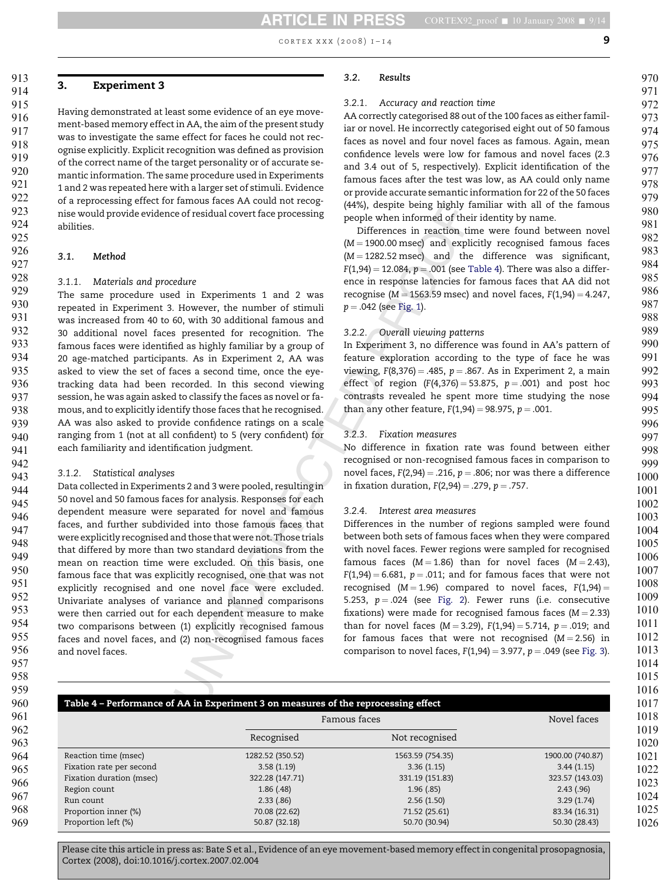cortex xxx (2008) 1–14

#### 3. Experiment 3 913 914

Having demonstrated at least some evidence of an eye movement-based memory effect in AA, the aim of the present study was to investigate the same effect for faces he could not recognise explicitly. Explicit recognition was defined as provision of the correct name of the target personality or of accurate semantic information. The same procedure used in Experiments 1 and 2 was repeated here with a larger set of stimuli. Evidence of a reprocessing effect for famous faces AA could not recognise would provide evidence of residual covert face processing abilities. 915 916 917 918 919 920 921 922 923 924 925

# 3.1. Method

926 927 928

958

# 3.1.1. Materials and procedure

The same procedure used in Experiments 1 and 2 was repeated in Experiment 3. However, the number of stimuli was increased from 40 to 60, with 30 additional famous and 30 additional novel faces presented for recognition. The famous faces were identified as highly familiar by a group of 20 age-matched participants. As in Experiment 2, AA was asked to view the set of faces a second time, once the eyetracking data had been recorded. In this second viewing session, he was again asked to classify the faces as novel or famous, and to explicitly identify those faces that he recognised. AA was also asked to provide confidence ratings on a scale ranging from 1 (not at all confident) to 5 (very confident) for each familiarity and identification judgment. 929 930 931 932 933 934 935 936 937 938 939 940 941

#### 3.1.2. Statistical analyses 942 943

into<br>us acts an count not ecosy<br>
ee of residual covert face processing<br>  $(448)$ , despite being highly for<br>  $(M = 1900.00 \text{ me})$ <br>  $(M = 1203.52 \text{ me})$  and expliciences in reaction tilf<br>  $(M = 1203.52 \text{ me})$ . The number of strutiul Data collected in Experiments 2 and 3 were pooled, resulting in 50 novel and 50 famous faces for analysis. Responses for each dependent measure were separated for novel and famous faces, and further subdivided into those famous faces that were explicitly recognised and those that were not. Those trials that differed by more than two standard deviations from the mean on reaction time were excluded. On this basis, one famous face that was explicitly recognised, one that was not explicitly recognised and one novel face were excluded. Univariate analyses of variance and planned comparisons were then carried out for each dependent measure to make two comparisons between (1) explicitly recognised famous faces and novel faces, and (2) non-recognised famous faces and novel faces. 944 945 946 947 948 949 950 951 952 953 954 955 956 957

# 3.2. Results

# 3.2.1. Accuracy and reaction time

AA correctly categorised 88 out of the 100 faces as either familiar or novel. He incorrectly categorised eight out of 50 famous faces as novel and four novel faces as famous. Again, mean confidence levels were low for famous and novel faces (2.3 and 3.4 out of 5, respectively). Explicit identification of the famous faces after the test was low, as AA could only name or provide accurate semantic information for 22 of the 50 faces (44%), despite being highly familiar with all of the famous people when informed of their identity by name.

Differences in reaction time were found between novel ( M ¼ 1900.00 msec) and explicitly recognised famous faces ( M ¼ 1282.52 msec) and the difference was significant, F(1,94)  $=$  12.084,  $\emph{p}$   $=$  .001 (see Table 4). There was also a difference in response latencies for famous faces that AA did not recognise (M  $=$  1563.59 msec) and novel faces, F(1,94)  $=$  4.247, p ¼ .042 (see Fig. 1).

# 3.2.2. Overall viewing patterns

In Experiment 3, no difference was found in AA's pattern of feature exploration according to the type of face he was viewing, F(8,376) = .485,  $p =$  .867. As in Experiment 2, a main effect of region (F(4,376) = 53.875,  $p = .001$ ) and post hoc contrasts revealed he spent more time studying the nose than any other feature,  $F(1,94) = 98.975$ ,  $p = .001$ .

# 3.2.3. Fixation measures

No difference in fixation rate was found between either recognised or non-recognised famous faces in comparison to novel faces, F(2,94) = .216,  $p =$  .806; nor was there a difference in fixation duration, F(2,94) = .279, p = .757.

# 3.2.4. Interest area measures

Differences in the number of regions sampled were found between both sets of famous faces when they were compared with novel faces. Fewer regions were sampled for recognised famous faces ( $M = 1.86$ ) than for novel faces ( $M = 2.43$ ), F(1,94)  $=$  6.681,  $\,p$   $=$  .011; and for famous faces that were not recognised (M  $=$  1.96) compared to novel faces, F(1,94)  $=$ 5.253,  $p = .024$  (see [Fig. 2](#page-9-0)). Fewer runs (i.e. consecutive fixations) were made for recognised famous faces (M  $=$  2.33) than for novel faces (M = 3.29),  $F(1,94) = 5.714$ ,  $p = .019$ ; and for famous faces that were not recognised  $(M=2.56)$  in comparison to novel faces,  $F(1,94) = 3.977$ ,  $p = .049$  (see [Fig. 3](#page-9-0)).

|                          | Famous faces     |                  | Novel faces      |
|--------------------------|------------------|------------------|------------------|
|                          | Recognised       | Not recognised   |                  |
| Reaction time (msec)     | 1282.52 (350.52) | 1563.59 (754.35) | 1900.00 (740.87) |
| Fixation rate per second | 3.58(1.19)       | 3.36(1.15)       | 3.44(1.15)       |
| Fixation duration (msec) | 322.28 (147.71)  | 331.19 (151.83)  | 323.57 (143.03)  |
| Region count             | 1.86(.48)        | 1.96(.85)        | 2.43(.96)        |
| Run count                | 2.33(.86)        | 2.56(1.50)       | 3.29(1.74)       |
| Proportion inner (%)     | 70.08 (22.62)    | 71.52 (25.61)    | 83.34 (16.31)    |
| Proportion left (%)      | 50.87 (32.18)    | 50.70 (30.94)    | 50.30 (28.43)    |

Please cite this article in press as: Bate S et al., Evidence of an eye movement-based memory effect in congenital prosopagnosia, Cortex (2008), doi:10.1016/j.cortex.2007.02.004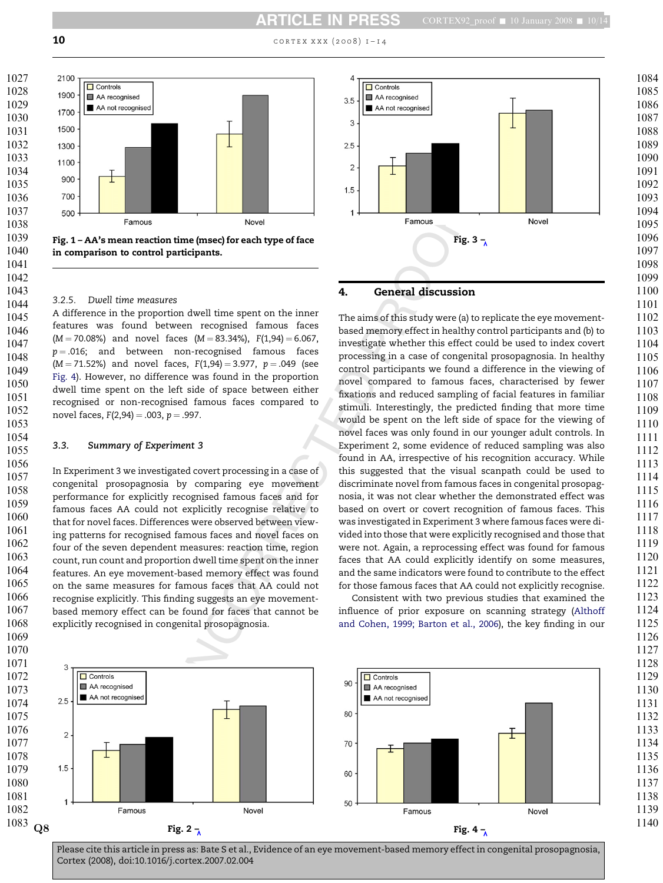ARTICLE IN PRESS  $\qquad \text{CORTEX92\_proof} \quad 10 \text{ January } 2008 \quad 10/14$ 

<span id="page-9-0"></span>**10 cortex XXX** (2008)  $I-I4$ 



Fig. 1 – AA's mean reaction time (msec) for each type of face in comparison to control participants.

### 3.2.5. Dwell time measures

A difference in the proportion dwell time spent on the inner features was found between recognised famous faces  $(M = 70.08\%)$  and novel faces  $(M = 83.34\%), F(1,94) = 6.067,$  $p = .016$ ; and between non-recognised famous faces  $(M = 71.52%)$  and novel faces,  $F(1,94) = 3.977$ ,  $p = .049$  (see Fig. 4). However, no difference was found in the proportion dwell time spent on the left side of space between either recognised or non-recognised famous faces compared to novel faces, F(2,94) = .003, p = .997. 

# 3.3. Summary of Experiment 3

In Experiment 3 we investigated covert processing in a case of congenital prosopagnosia by comparing eye movement performance for explicitly recognised famous faces and for famous faces AA could not explicitly recognise relative to that for novel faces. Differences were observed between viewing patterns for recognised famous faces and novel faces on four of the seven dependent measures: reaction time, region count, run count and proportion dwell time spent on the inner features. An eye movement-based memory effect was found on the same measures for famous faces that AA could not recognise explicitly. This finding suggests an eye movementbased memory effect can be found for faces that cannot be explicitly recognised in congenital prosopagnosia. 



# 4. General discussion

INNET Movel<br>
I time (msec) for each type of face<br>
exacticipants.<br>
Exaction dwell time spent on the inner<br>
tion dwell time spent on the inner<br>
tive were recognised famous faces<br>
The aims of this study were (a)<br>
caces (M = The aims of this study were (a) to replicate the eye movementbased memory effect in healthy control participants and (b) to investigate whether this effect could be used to index covert processing in a case of congenital prosopagnosia. In healthy control participants we found a difference in the viewing of novel compared to famous faces, characterised by fewer fixations and reduced sampling of facial features in familiar stimuli. Interestingly, the predicted finding that more time would be spent on the left side of space for the viewing of novel faces was only found in our younger adult controls. In Experiment 2, some evidence of reduced sampling was also found in AA, irrespective of his recognition accuracy. While this suggested that the visual scanpath could be used to discriminate novel from famous faces in congenital prosopagnosia, it was not clear whether the demonstrated effect was based on overt or covert recognition of famous faces. This was investigated in Experiment 3 where famous faces were divided into those that were explicitly recognised and those that were not. Again, a reprocessing effect was found for famous faces that AA could explicitly identify on some measures, and the same indicators were found to contribute to the effect for those famous faces that AA could not explicitly recognise.

Consistent with two previous studies that examined the influence of prior exposure on scanning strategy [\(Althoff](#page-11-0) [and Cohen, 1999; Barton et al., 2006\)](#page-11-0), the key finding in our



Please cite this article in press as: Bate S et al., Evidence of an eye movement-based memory effect in congenital prosopagnosia, Cortex (2008), doi:10.1016/j.cortex.2007.02.004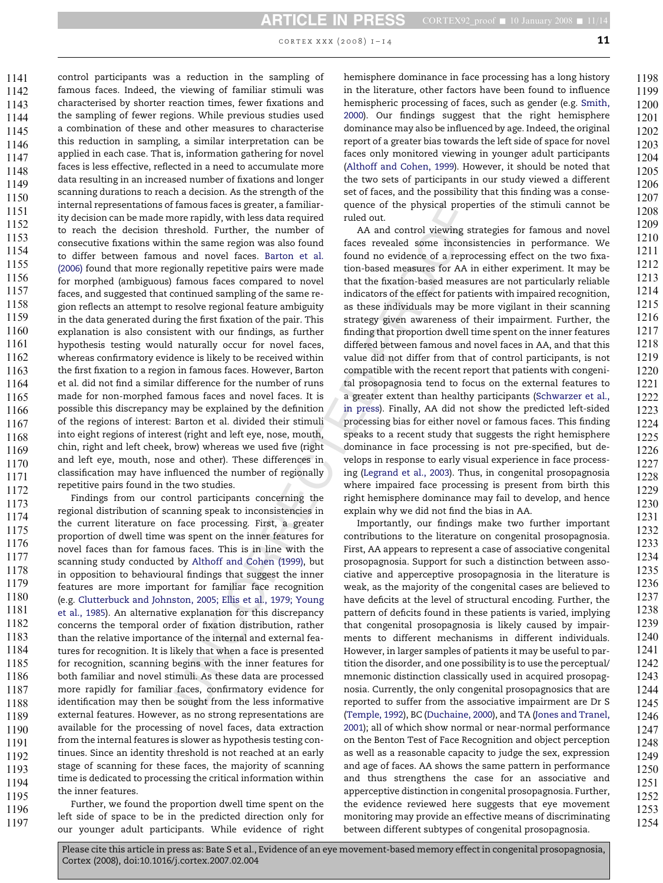# CORTEX XXX  $(2008)$   $I-I4$  11

famous faces is greater, a familiar-<br>
neuro ef ore physical proportions is greater, a familiar-<br>
neuro e of the physical proportions and noticely, with less data required<br>
reshold. Further, the number of  $\alpha$  A and contro control participants was a reduction in the sampling of famous faces. Indeed, the viewing of familiar stimuli was characterised by shorter reaction times, fewer fixations and the sampling of fewer regions. While previous studies used a combination of these and other measures to characterise this reduction in sampling, a similar interpretation can be applied in each case. That is, information gathering for novel faces is less effective, reflected in a need to accumulate more data resulting in an increased number of fixations and longer scanning durations to reach a decision. As the strength of the internal representations of famous faces is greater, a familiarity decision can be made more rapidly, with less data required to reach the decision threshold. Further, the number of consecutive fixations within the same region was also found to differ between famous and novel faces. [Barton et al.](#page-11-0) [\(2006\)](#page-11-0) found that more regionally repetitive pairs were made for morphed (ambiguous) famous faces compared to novel faces, and suggested that continued sampling of the same region reflects an attempt to resolve regional feature ambiguity in the data generated during the first fixation of the pair. This explanation is also consistent with our findings, as further hypothesis testing would naturally occur for novel faces, whereas confirmatory evidence is likely to be received within the first fixation to a region in famous faces. However, Barton et al. did not find a similar difference for the number of runs made for non-morphed famous faces and novel faces. It is possible this discrepancy may be explained by the definition of the regions of interest: Barton et al. divided their stimuli into eight regions of interest (right and left eye, nose, mouth, chin, right and left cheek, brow) whereas we used five (right and left eye, mouth, nose and other). These differences in classification may have influenced the number of regionally repetitive pairs found in the two studies. 1141 1142 1143 1144 1145 1146 1147 1148 1149 1150 1151 1152 1153 1154 1155 1156 1157 1158 1159 1160 1161 1162 1163 1164 1165 1166 1167 1168 1169 1170 1171 1172

Findings from our control participants concerning the regional distribution of scanning speak to inconsistencies in the current literature on face processing. First, a greater proportion of dwell time was spent on the inner features for novel faces than for famous faces. This is in line with the scanning study conducted by Althoff and Cohen (1999), but in opposition to behavioural findings that suggest the inner features are more important for familiar face recognition (e.g. [Clutterbuck and Johnston, 2005; Ellis et al., 1979; Young](#page-12-0) [et al., 1985\)](#page-12-0). An alternative explanation for this discrepancy concerns the temporal order of fixation distribution, rather than the relative importance of the internal and external features for recognition. It is likely that when a face is presented for recognition, scanning begins with the inner features for both familiar and novel stimuli. As these data are processed more rapidly for familiar faces, confirmatory evidence for identification may then be sought from the less informative external features. However, as no strong representations are available for the processing of novel faces, data extraction from the internal features is slower as hypothesis testing continues. Since an identity threshold is not reached at an early stage of scanning for these faces, the majority of scanning time is dedicated to processing the critical information within the inner features. 1173 1174 1175 1176 1177 1178 1179 1180 1181 1182 1183 1184 1185 1186 1187 1188 1189 1190 1191 1192 1193 1194 1195

Further, we found the proportion dwell time spent on the left side of space to be in the predicted direction only for our younger adult participants. While evidence of right 1196 1197

hemisphere dominance in face processing has a long history in the literature, other factors have been found to influence hemispheric processing of faces, such as gender (e.g. [Smith,](#page-13-0) [2000](#page-13-0)). Our findings suggest that the right hemisphere dominance may also be influenced by age. Indeed, the original report of a greater bias towards the left side of space for novel faces only monitored viewing in younger adult participants [\(Althoff and Cohen, 1999\)](#page-11-0). However, it should be noted that the two sets of participants in our study viewed a different set of faces, and the possibility that this finding was a consequence of the physical properties of the stimuli cannot be ruled out.

AA and control viewing strategies for famous and novel faces revealed some inconsistencies in performance. We found no evidence of a reprocessing effect on the two fixation-based measures for AA in either experiment. It may be that the fixation-based measures are not particularly reliable indicators of the effect for patients with impaired recognition, as these individuals may be more vigilant in their scanning strategy given awareness of their impairment. Further, the finding that proportion dwell time spent on the inner features differed between famous and novel faces in AA, and that this value did not differ from that of control participants, is not compatible with the recent report that patients with congenital prosopagnosia tend to focus on the external features to a greater extent than healthy participants ([Schwarzer et al.,](#page-13-0) in press). Finally, AA did not show the predicted left-sided processing bias for either novel or famous faces. This finding speaks to a recent study that suggests the right hemisphere dominance in face processing is not pre-specified, but develops in response to early visual experience in face processing ([Legrand et al., 2003\)](#page-12-0). Thus, in congenital prosopagnosia where impaired face processing is present from birth this right hemisphere dominance may fail to develop, and hence explain why we did not find the bias in AA.

Importantly, our findings make two further important contributions to the literature on congenital prosopagnosia. First, AA appears to represent a case of associative congenital prosopagnosia. Support for such a distinction between associative and apperceptive prosopagnosia in the literature is weak, as the majority of the congenital cases are believed to have deficits at the level of structural encoding. Further, the pattern of deficits found in these patients is varied, implying that congenital prosopagnosia is likely caused by impairments to different mechanisms in different individuals. However, in larger samples of patients it may be useful to partition the disorder, and one possibility is to use the perceptual/ mnemonic distinction classically used in acquired prosopagnosia. Currently, the only congenital prosopagnosics that are reported to suffer from the associative impairment are Dr S [\(Temple, 1992](#page-13-0)), BC ([Duchaine, 2000\)](#page-12-0), and TA [\(Jones and Tranel,](#page-12-0) [2001](#page-12-0)); all of which show normal or near-normal performance on the Benton Test of Face Recognition and object perception as well as a reasonable capacity to judge the sex, expression and age of faces. AA shows the same pattern in performance and thus strengthens the case for an associative and apperceptive distinction in congenital prosopagnosia. Further, the evidence reviewed here suggests that eye movement monitoring may provide an effective means of discriminating between different subtypes of congenital prosopagnosia. 1231 1232 1233 1234 1235 1236 1237 1238 1239 1240 1241 1242 1243 1244 1245 1246 1247 1248 1249 1250 1251 1252 1253 1254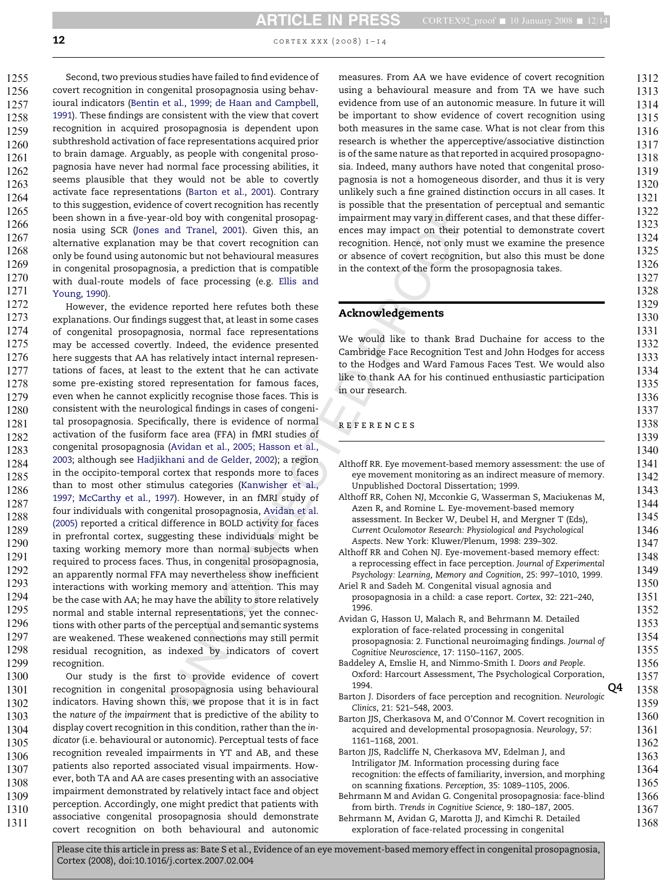<span id="page-11-0"></span>

Second, two previous studies have failed to find evidence of covert recognition in congenital prosopagnosia using behavioural indicators [\(Bentin et al., 1999; de Haan and Campbell,](#page-12-0) [1991\)](#page-12-0). These findings are consistent with the view that covert recognition in acquired prosopagnosia is dependent upon subthreshold activation of face representations acquired prior to brain damage. Arguably, as people with congenital prosopagnosia have never had normal face processing abilities, it seems plausible that they would not be able to covertly activate face representations (Barton et al., 2001). Contrary to this suggestion, evidence of covert recognition has recently been shown in a five-year-old boy with congenital prosopagnosia using SCR [\(Jones and Tranel, 2001\)](#page-12-0). Given this, an alternative explanation may be that covert recognition can only be found using autonomic but not behavioural measures in congenital prosopagnosia, a prediction that is compatible with dual-route models of face processing (e.g. [Ellis and](#page-12-0) [Young, 1990\)](#page-12-0). 1255 1256 1257 1258 1259 1260 1261 1262 1263 1264 1265 1266 1267 1268 1269 1270 1271

e of covert recognition has recently is possible that the presentation particle of covert recognition of Translation and Tranel, 2001). Given this, an ences may impair on their pay a be that covert recognition can recogni However, the evidence reported here refutes both these explanations. Our findings suggest that, at least in some cases of congenital prosopagnosia, normal face representations may be accessed covertly. Indeed, the evidence presented here suggests that AA has relatively intact internal representations of faces, at least to the extent that he can activate some pre-existing stored representation for famous faces, even when he cannot explicitly recognise those faces. This is consistent with the neurological findings in cases of congenital prosopagnosia. Specifically, there is evidence of normal activation of the fusiform face area (FFA) in fMRI studies of congenital prosopagnosia (Avidan et al., 2005; Hasson et al., 2003; although see [Hadjikhani and de Gelder, 2002\)](#page-12-0); a region in the occipito-temporal cortex that responds more to faces than to most other stimulus categories (Kanwisher et al., [1997; McCarthy et al., 1997\)](#page-12-0). However, in an fMRI study of four individuals with congenital prosopagnosia, Avidan et al. (2005) reported a critical difference in BOLD activity for faces in prefrontal cortex, suggesting these individuals might be taxing working memory more than normal subjects when required to process faces. Thus, in congenital prosopagnosia, an apparently normal FFA may nevertheless show inefficient interactions with working memory and attention. This may be the case with AA; he may have the ability to store relatively normal and stable internal representations, yet the connections with other parts of the perceptual and semantic systems are weakened. These weakened connections may still permit residual recognition, as indexed by indicators of covert recognition. 1272 1273 1274 1275 1276 1277 1278 1279 1280 1281 1282 1283 1284 1285 1286 1287 1288 1289 1290 1291 1292 1293 1294 1295 1296 1297 1298 1299

Our study is the first to provide evidence of covert recognition in congenital prosopagnosia using behavioural indicators. Having shown this, we propose that it is in fact the nature of the impairment that is predictive of the ability to display covert recognition in this condition, rather than the indicator (i.e. behavioural or autonomic). Perceptual tests of face recognition revealed impairments in YT and AB, and these patients also reported associated visual impairments. However, both TA and AA are cases presenting with an associative impairment demonstrated by relatively intact face and object perception. Accordingly, one might predict that patients with associative congenital prosopagnosia should demonstrate covert recognition on both behavioural and autonomic 1300 1301 1302 1303 1304 1305 1306 1307 1308 1309 1310 1311

measures. From AA we have evidence of covert recognition using a behavioural measure and from TA we have such evidence from use of an autonomic measure. In future it will be important to show evidence of covert recognition using both measures in the same case. What is not clear from this research is whether the apperceptive/associative distinction is of the same nature as that reported in acquired prosopagnosia. Indeed, many authors have noted that congenital prosopagnosia is not a homogeneous disorder, and thus it is very unlikely such a fine grained distinction occurs in all cases. It is possible that the presentation of perceptual and semantic impairment may vary in different cases, and that these differences may impact on their potential to demonstrate covert recognition. Hence, not only must we examine the presence or absence of covert recognition, but also this must be done in the context of the form the prosopagnosia takes.

# Acknowledgements

We would like to thank Brad Duchaine for access to the Cambridge Face Recognition Test and John Hodges for access to the Hodges and Ward Famous Faces Test. We would also like to thank AA for his continued enthusiastic participation in our research.

# references

|                                                                                                                             | 1340 |
|-----------------------------------------------------------------------------------------------------------------------------|------|
| Althoff RR. Eye movement-based memory assessment: the use of                                                                | 1341 |
| eye movement monitoring as an indirect measure of memory.                                                                   | 1342 |
| Unpublished Doctoral Dissertation; 1999.                                                                                    | 1343 |
| Althoff RR, Cohen NJ, Mcconkie G, Wasserman S, Maciukenas M,                                                                | 1344 |
| Azen R, and Romine L. Eye-movement-based memory                                                                             | 1345 |
| assessment. In Becker W, Deubel H, and Mergner T (Eds),<br>Current Oculomotor Research: Physiological and Psychological     | 1346 |
| Aspects. New York: Kluwer/Plenum, 1998: 239-302.                                                                            |      |
| Althoff RR and Cohen NJ. Eye-movement-based memory effect:                                                                  | 1347 |
| a reprocessing effect in face perception. Journal of Experimental                                                           | 1348 |
| Psychology: Learning, Memory and Cognition, 25: 997-1010, 1999.                                                             | 1349 |
| Ariel R and Sadeh M. Congenital visual agnosia and                                                                          | 1350 |
| prosopagnosia in a child: a case report. Cortex, 32: 221-240,                                                               | 1351 |
| 1996.                                                                                                                       | 1352 |
| Avidan G, Hasson U, Malach R, and Behrmann M. Detailed                                                                      | 1353 |
| exploration of face-related processing in congenital                                                                        | 1354 |
| prosopagnosia: 2. Functional neuroimaging findings. Journal of<br>Cognitive Neuroscience, 17: 1150-1167, 2005.              | 1355 |
| Baddeley A, Emslie H, and Nimmo-Smith I. Doors and People.                                                                  | 1356 |
| Oxford: Harcourt Assessment, The Psychological Corporation,                                                                 | 1357 |
| 1994.<br>Q4                                                                                                                 |      |
| Barton J. Disorders of face perception and recognition. Neurologic                                                          | 1358 |
| Clinics, 21: 521-548, 2003.                                                                                                 | 1359 |
| Barton JJS, Cherkasova M, and O'Connor M. Covert recognition in                                                             | 1360 |
| acquired and developmental prosopagnosia. Neurology, 57:                                                                    | 1361 |
| 1161-1168, 2001.                                                                                                            | 1362 |
| Barton JJS, Radcliffe N, Cherkasova MV, Edelman J, and                                                                      | 1363 |
| Intriligator JM. Information processing during face                                                                         | 1364 |
| recognition: the effects of familiarity, inversion, and morphing<br>on scanning fixations. Perception, 35: 1089-1105, 2006. | 1365 |
| Behrmann M and Avidan G. Congenital prosopagnosia: face-blind                                                               | 1366 |
| from birth. Trends in Cognitive Science, 9: 180-187, 2005.                                                                  | 1367 |
| Behrmann M, Avidan G, Marotta JJ, and Kimchi R. Detailed<br>exploration of face-related processing in congenital            | 1368 |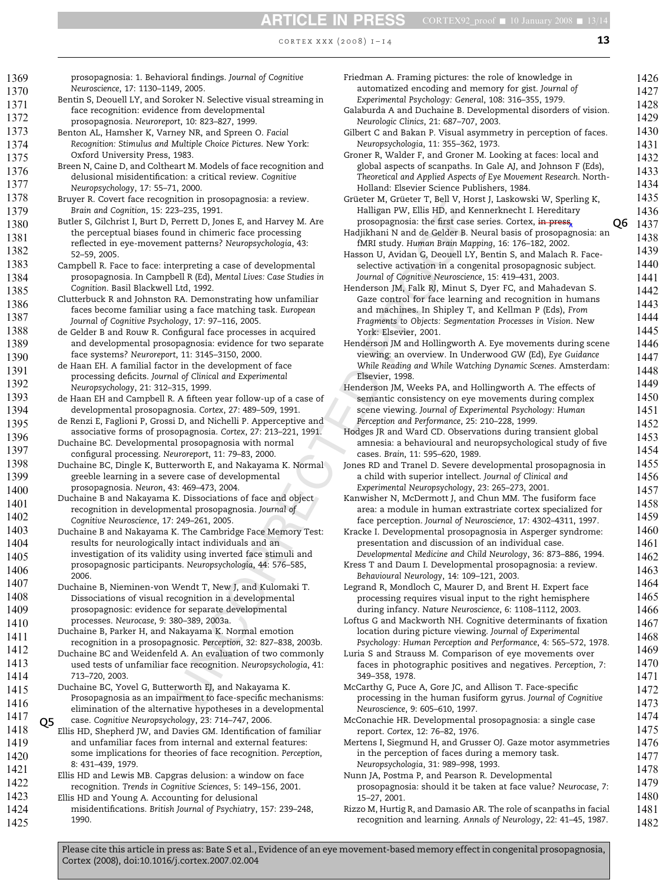ARTICLE IN PRESS CORTEX92\_proof 10 January 2008 13/14

 $CORTEX XXX (2008) 1-I 4$  13

<span id="page-12-0"></span>

| 1369 | prosopagnosia: 1. Behavioral findings. Journal of Cognitive                                                                    | Friedman A. Framing pictures: the role of knowledge in                                                                        |
|------|--------------------------------------------------------------------------------------------------------------------------------|-------------------------------------------------------------------------------------------------------------------------------|
| 1370 | Neuroscience, 17: 1130-1149, 2005.<br>Bentin S, Deouell LY, and Soroker N. Selective visual streaming in                       | automatized encoding and memory for gist. Journal of<br>Experimental Psychology: General, 108: 316-355, 1979.                 |
| 1371 | face recognition: evidence from developmental                                                                                  | Galaburda A and Duchaine B. Developmental disorders of vision.                                                                |
| 1372 | prosopagnosia. Neuroreport, 10: 823-827, 1999.                                                                                 | Neurologic Clinics, 21: 687-707, 2003.                                                                                        |
| 1373 | Benton AL, Hamsher K, Varney NR, and Spreen O. Facial                                                                          | Gilbert C and Bakan P. Visual asymmetry in perception of faces.                                                               |
| 1374 | Recognition: Stimulus and Multiple Choice Pictures. New York:                                                                  | Neuropsychologia, 11: 355-362, 1973.                                                                                          |
| 1375 | Oxford University Press, 1983.                                                                                                 | Groner R, Walder F, and Groner M. Looking at faces: local and                                                                 |
| 1376 | Breen N, Caine D, and Coltheart M. Models of face recognition and                                                              | global aspects of scanpaths. In Gale AJ, and Johnson F (Eds),                                                                 |
|      | delusional misidentification: a critical review. Cognitive                                                                     | Theoretical and Applied Aspects of Eye Movement Research. North-                                                              |
| 1377 | Neuropsychology, 17: 55-71, 2000.                                                                                              | Holland: Elsevier Science Publishers, 1984.                                                                                   |
| 1378 | Bruyer R. Covert face recognition in prosopagnosia: a review.                                                                  | Grüeter M, Grüeter T, Bell V, Horst J, Laskowski W, Sperling K,                                                               |
| 1379 | Brain and Cognition, 15: 223-235, 1991.                                                                                        | Halligan PW, Ellis HD, and Kennerknecht I. Hereditary                                                                         |
| 1380 | Butler S, Gilchrist I, Burt D, Perrett D, Jones E, and Harvey M. Are                                                           | prosopagnosia: the first case series. Cortex, in press,<br>Q <sub>6</sub>                                                     |
| 1381 | the perceptual biases found in chimeric face processing                                                                        | Hadjikhani N and de Gelder B. Neural basis of prosopagnosia: an                                                               |
| 1382 | reflected in eye-movement patterns? Neuropsychologia, 43:<br>52-59, 2005.                                                      | fMRI study. Human Brain Mapping, 16: 176-182, 2002.<br>Hasson U, Avidan G, Deouell LY, Bentin S, and Malach R. Face-          |
| 1383 | Campbell R. Face to face: interpreting a case of developmental                                                                 | selective activation in a congenital prosopagnosic subject.                                                                   |
| 1384 | prosopagnosia. In Campbell R (Ed), Mental Lives: Case Studies in                                                               | Journal of Cognitive Neuroscience, 15: 419-431, 2003.                                                                         |
|      | Cognition. Basil Blackwell Ltd, 1992.                                                                                          | Henderson JM, Falk RJ, Minut S, Dyer FC, and Mahadevan S.                                                                     |
| 1385 | Clutterbuck R and Johnston RA. Demonstrating how unfamiliar                                                                    | Gaze control for face learning and recognition in humans                                                                      |
| 1386 | faces become familiar using a face matching task. European                                                                     | and machines. In Shipley T, and Kellman P (Eds), From                                                                         |
| 1387 | Journal of Cognitive Psychology, 17: 97-116, 2005.                                                                             | Fragments to Objects: Segmentation Processes in Vision. New                                                                   |
| 1388 | de Gelder B and Rouw R. Configural face processes in acquired                                                                  | York: Elsevier, 2001.                                                                                                         |
| 1389 | and developmental prosopagnosia: evidence for two separate                                                                     | Henderson JM and Hollingworth A. Eye movements during scene                                                                   |
| 1390 | face systems? Neuroreport, 11: 3145-3150, 2000.                                                                                | viewing: an overview. In Underwood GW (Ed), Eye Guidance                                                                      |
| 1391 | de Haan EH. A familial factor in the development of face                                                                       | While Reading and While Watching Dynamic Scenes. Amsterdam:                                                                   |
| 1392 | processing deficits. Journal of Clinical and Experimental                                                                      | Elsevier, 1998.                                                                                                               |
| 1393 | Neuropsychology, 21: 312-315, 1999.<br>de Haan EH and Campbell R. A fifteen year follow-up of a case of                        | Henderson JM, Weeks PA, and Hollingworth A. The effects of                                                                    |
| 1394 | developmental prosopagnosia. Cortex, 27: 489-509, 1991.                                                                        | semantic consistency on eye movements during complex<br>scene viewing. Journal of Experimental Psychology: Human              |
|      | de Renzi E, Faglioni P, Grossi D, and Nichelli P. Apperceptive and                                                             | Perception and Performance, 25: 210-228, 1999.                                                                                |
| 1395 | associative forms of prosopagnosia. Cortex, 27: 213-221, 1991.                                                                 | Hodges JR and Ward CD. Observations during transient global                                                                   |
| 1396 | Duchaine BC. Developmental prosopagnosia with normal                                                                           | amnesia: a behavioural and neuropsychological study of five                                                                   |
| 1397 | configural processing. Neuroreport, 11: 79-83, 2000.                                                                           | cases. Brain, 11: 595-620, 1989.                                                                                              |
| 1398 | Duchaine BC, Dingle K, Butterworth E, and Nakayama K. Normal                                                                   | Jones RD and Tranel D. Severe developmental prosopagnosia in                                                                  |
| 1399 | greeble learning in a severe case of developmental                                                                             | a child with superior intellect. Journal of Clinical and                                                                      |
| 1400 | prosopagnosia. Neuron, 43: 469-473, 2004.                                                                                      | Experimental Neuropsychology, 23: 265-273, 2001.                                                                              |
| 1401 | Duchaine B and Nakayama K. Dissociations of face and object                                                                    | Kanwisher N, McDermott J, and Chun MM. The fusiform face                                                                      |
| 1402 | recognition in developmental prosopagnosia. Journal of                                                                         | area: a module in human extrastriate cortex specialized for                                                                   |
| 1403 | Cognitive Neuroscience, 17: 249-261, 2005.<br>Duchaine B and Nakayama K. The Cambridge Face Memory Test:                       | face perception. Journal of Neuroscience, 17: 4302-4311, 1997.<br>Kracke I. Developmental prosopagnosia in Asperger syndrome: |
| 1404 | results for neurologically intact individuals and an                                                                           | presentation and discussion of an individual case.                                                                            |
| 1405 | investigation of its validity using inverted face stimuli and                                                                  | Developmental Medicine and Child Neurology, 36: 873-886, 1994.                                                                |
|      | prosopagnosic participants. Neuropsychologia, 44: 576-585,                                                                     | Kress T and Daum I. Developmental prosopagnosia: a review.                                                                    |
| 1406 | 2006.                                                                                                                          | Behavioural Neurology, 14: 109-121, 2003.                                                                                     |
| 1407 | Duchaine B, Nieminen-von Wendt T, New J, and Kulomaki T.                                                                       | Legrand R, Mondloch C, Maurer D, and Brent H. Expert face                                                                     |
| 1408 | Dissociations of visual recognition in a developmental                                                                         | processing requires visual input to the right hemisphere                                                                      |
| 1409 | prosopagnosic: evidence for separate developmental                                                                             | during infancy. Nature Neuroscience, 6: 1108-1112, 2003.                                                                      |
| 1410 | processes. Neurocase, 9: 380-389, 2003a.                                                                                       | Loftus G and Mackworth NH. Cognitive determinants of fixation                                                                 |
| 1411 | Duchaine B, Parker H, and Nakayama K. Normal emotion                                                                           | location during picture viewing. Journal of Experimental                                                                      |
| 1412 | recognition in a prosopagnosic. Perception, 32: 827-838, 2003b.<br>Duchaine BC and Weidenfeld A. An evaluation of two commonly | Psychology: Human Perception and Performance, 4: 565-572, 1978.<br>Luria S and Strauss M. Comparison of eye movements over    |
| 1413 | used tests of unfamiliar face recognition. Neuropsychologia, 41:                                                               | faces in photographic positives and negatives. Perception, 7:                                                                 |
| 1414 | 713-720, 2003.                                                                                                                 | 349-358, 1978.                                                                                                                |
| 1415 | Duchaine BC, Yovel G, Butterworth EJ, and Nakayama K.                                                                          | McCarthy G, Puce A, Gore JC, and Allison T. Face-specific                                                                     |
| 1416 | Prosopagnosia as an impairment to face-specific mechanisms:                                                                    | processing in the human fusiform gyrus. Journal of Cognitive                                                                  |
|      | elimination of the alternative hypotheses in a developmental                                                                   | Neuroscience, 9: 605-610, 1997.                                                                                               |
| 1417 | case. Cognitive Neuropsychology, 23: 714-747, 2006.<br>Q <sub>5</sub>                                                          | McConachie HR. Developmental prosopagnosia: a single case                                                                     |
| 1418 | Ellis HD, Shepherd JW, and Davies GM. Identification of familiar                                                               | report. Cortex, 12: 76-82, 1976.                                                                                              |
| 1419 | and unfamiliar faces from internal and external features:                                                                      | Mertens I, Siegmund H, and Grusser OJ. Gaze motor asymmetries                                                                 |
| 1420 | some implications for theories of face recognition. Perception,                                                                | in the perception of faces during a memory task.                                                                              |
| 1421 | 8: 431-439, 1979.<br>Ellis HD and Lewis MB. Capgras delusion: a window on face                                                 | Neuropsychologia, 31: 989-998, 1993.<br>Nunn JA, Postma P, and Pearson R. Developmental                                       |
| 1422 | recognition. Trends in Cognitive Sciences, 5: 149-156, 2001.                                                                   | prosopagnosia: should it be taken at face value? Neurocase, 7:                                                                |
| 1423 | Ellis HD and Young A. Accounting for delusional                                                                                | 15-27, 2001.                                                                                                                  |
| 1424 | misidentifications. British Journal of Psychiatry, 157: 239-248,                                                               | Rizzo M, Hurtig R, and Damasio AR. The role of scanpaths in facial                                                            |
| 1425 | 1990.                                                                                                                          | recognition and learning. Annals of Neurology, 22: 41-45, 1987.                                                               |
|      |                                                                                                                                |                                                                                                                               |